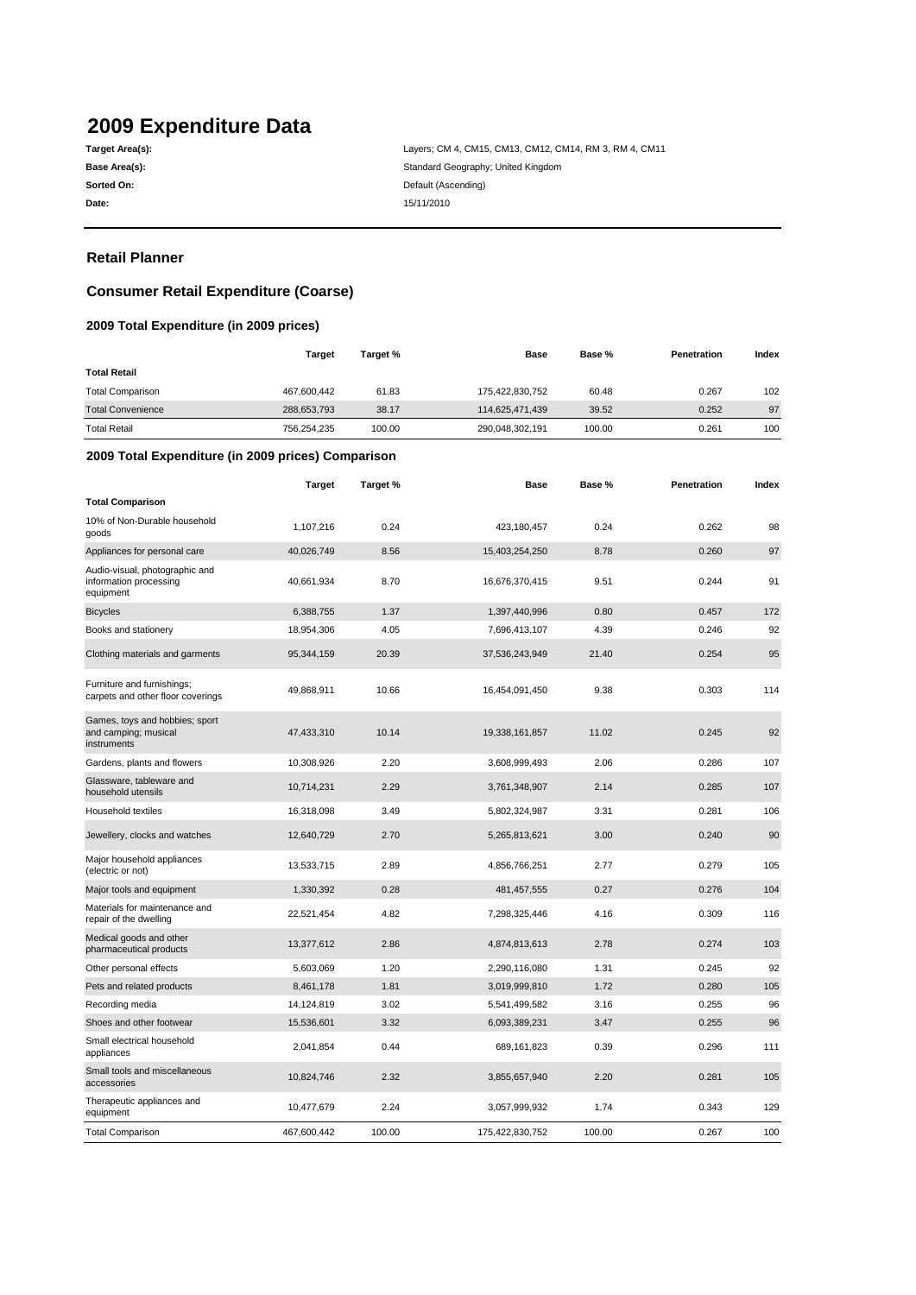# **2009 Expenditure Data**

**Date:** 15/11/2010

**Target Area(s): Target Area(s): Layers; CM 4, CM15, CM13, CM12, CM14, RM 3, RM 4, CM11 Base Area(s):** Standard Geography; United Kingdom **Sorted On: Default (Ascending)** 

### **Retail Planner**

### **Consumer Retail Expenditure (Coarse)**

### **2009 Total Expenditure (in 2009 prices)**

|                                                                       | <b>Target</b> | Target % | <b>Base</b>     | Base % | Penetration | Index |
|-----------------------------------------------------------------------|---------------|----------|-----------------|--------|-------------|-------|
| <b>Total Retail</b>                                                   |               |          |                 |        |             |       |
| <b>Total Comparison</b>                                               | 467,600,442   | 61.83    | 175,422,830,752 | 60.48  | 0.267       | 102   |
| <b>Total Convenience</b>                                              | 288,653,793   | 38.17    | 114,625,471,439 | 39.52  | 0.252       | 97    |
| <b>Total Retail</b>                                                   | 756,254,235   | 100.00   | 290,048,302,191 | 100.00 | 0.261       | 100   |
| 2009 Total Expenditure (in 2009 prices) Comparison                    |               |          |                 |        |             |       |
|                                                                       | <b>Target</b> | Target % | <b>Base</b>     | Base % | Penetration | Index |
| <b>Total Comparison</b>                                               |               |          |                 |        |             |       |
| 10% of Non-Durable household<br>goods                                 | 1,107,216     | 0.24     | 423,180,457     | 0.24   | 0.262       | 98    |
| Appliances for personal care                                          | 40,026,749    | 8.56     | 15,403,254,250  | 8.78   | 0.260       | 97    |
| Audio-visual, photographic and<br>information processing<br>equipment | 40,661,934    | 8.70     | 16,676,370,415  | 9.51   | 0.244       | 91    |
| <b>Bicycles</b>                                                       | 6,388,755     | 1.37     | 1,397,440,996   | 0.80   | 0.457       | 172   |
| Books and stationery                                                  | 18,954,306    | 4.05     | 7,696,413,107   | 4.39   | 0.246       | 92    |
| Clothing materials and garments                                       | 95,344,159    | 20.39    | 37,536,243,949  | 21.40  | 0.254       | 95    |
| Furniture and furnishings;<br>carpets and other floor coverings       | 49,868,911    | 10.66    | 16,454,091,450  | 9.38   | 0.303       | 114   |
| Games, toys and hobbies; sport<br>and camping; musical<br>instruments | 47,433,310    | 10.14    | 19,338,161,857  | 11.02  | 0.245       | 92    |
| Gardens, plants and flowers                                           | 10,308,926    | 2.20     | 3,608,999,493   | 2.06   | 0.286       | 107   |
| Glassware, tableware and<br>household utensils                        | 10,714,231    | 2.29     | 3,761,348,907   | 2.14   | 0.285       | 107   |
| Household textiles                                                    | 16,318,098    | 3.49     | 5,802,324,987   | 3.31   | 0.281       | 106   |
| Jewellery, clocks and watches                                         | 12,640,729    | 2.70     | 5,265,813,621   | 3.00   | 0.240       | 90    |
| Major household appliances<br>(electric or not)                       | 13,533,715    | 2.89     | 4,856,766,251   | 2.77   | 0.279       | 105   |
| Major tools and equipment                                             | 1,330,392     | 0.28     | 481,457,555     | 0.27   | 0.276       | 104   |
| Materials for maintenance and<br>repair of the dwelling               | 22,521,454    | 4.82     | 7,298,325,446   | 4.16   | 0.309       | 116   |
| Medical goods and other<br>pharmaceutical products                    | 13,377,612    | 2.86     | 4,874,813,613   | 2.78   | 0.274       | 103   |
| Other personal effects                                                | 5,603,069     | 1.20     | 2,290,116,080   | 1.31   | 0.245       | 92    |
| Pets and related products                                             | 8,461,178     | 1.81     | 3,019,999,810   | 1.72   | 0.280       | 105   |
| Recording media                                                       | 14,124,819    | 3.02     | 5,541,499,582   | 3.16   | 0.255       | 96    |
| Shoes and other footwear                                              | 15,536,601    | 3.32     | 6,093,389,231   | 3.47   | 0.255       | 96    |
| Small electrical household<br>appliances                              | 2,041,854     | 0.44     | 689,161,823     | 0.39   | 0.296       | 111   |
| Small tools and miscellaneous<br>accessories                          | 10,824,746    | 2.32     | 3,855,657,940   | 2.20   | 0.281       | 105   |
| Therapeutic appliances and<br>equipment                               | 10,477,679    | 2.24     | 3,057,999,932   | 1.74   | 0.343       | 129   |
| <b>Total Comparison</b>                                               | 467,600,442   | 100.00   | 175,422,830,752 | 100.00 | 0.267       | 100   |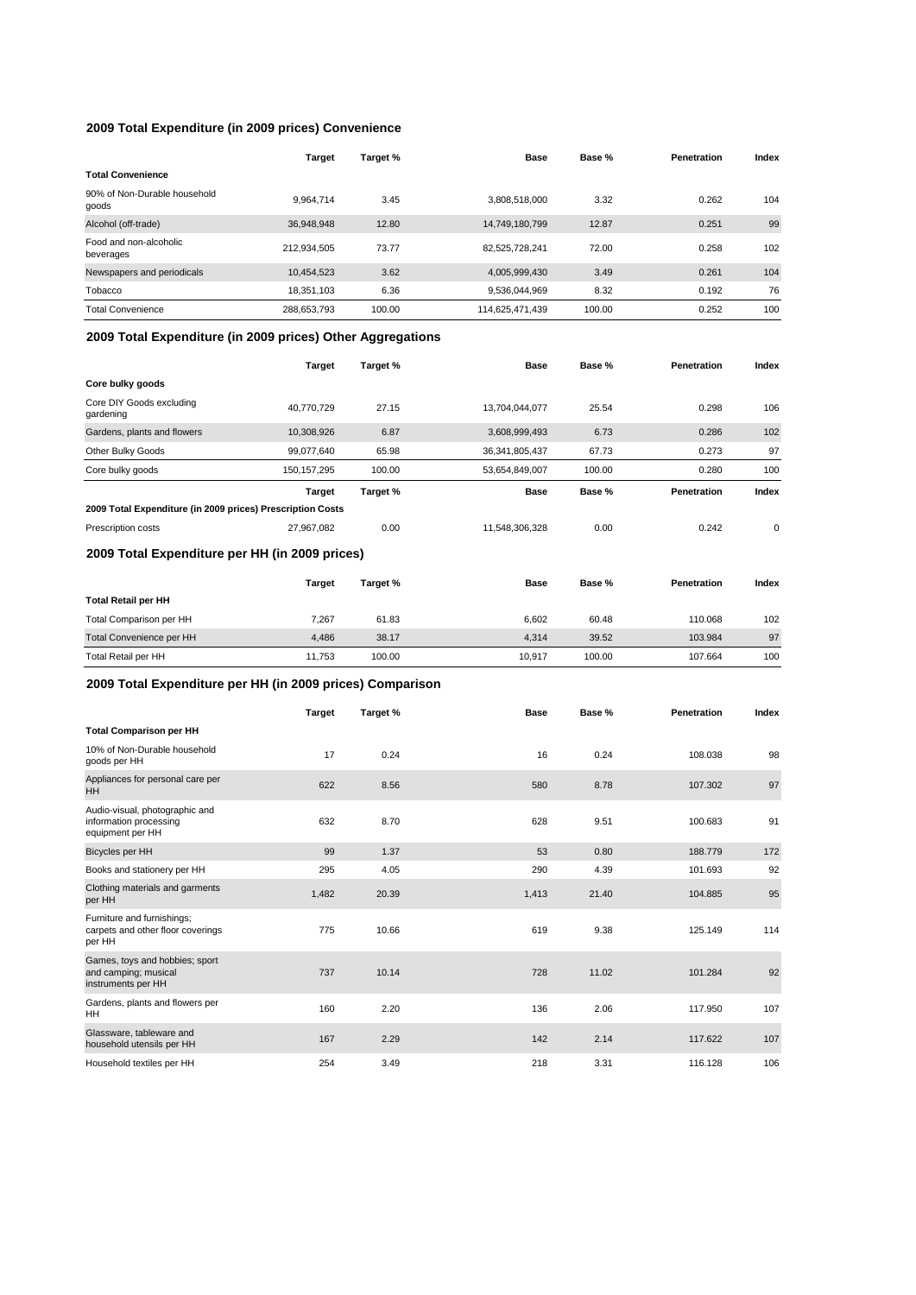### **2009 Total Expenditure (in 2009 prices) Convenience**

|                                       | Target      | Target % | Base            | Base % | Penetration | Index |
|---------------------------------------|-------------|----------|-----------------|--------|-------------|-------|
| <b>Total Convenience</b>              |             |          |                 |        |             |       |
| 90% of Non-Durable household<br>goods | 9.964.714   | 3.45     | 3.808.518.000   | 3.32   | 0.262       | 104   |
| Alcohol (off-trade)                   | 36,948,948  | 12.80    | 14,749,180,799  | 12.87  | 0.251       | 99    |
| Food and non-alcoholic<br>beverages   | 212.934.505 | 73.77    | 82.525.728.241  | 72.00  | 0.258       | 102   |
| Newspapers and periodicals            | 10,454,523  | 3.62     | 4,005,999,430   | 3.49   | 0.261       | 104   |
| Tobacco                               | 18,351,103  | 6.36     | 9,536,044,969   | 8.32   | 0.192       | 76    |
| <b>Total Convenience</b>              | 288,653,793 | 100.00   | 114,625,471,439 | 100.00 | 0.252       | 100   |

## **2009 Total Expenditure (in 2009 prices) Other Aggregations**

|                                                            | <b>Target</b> | Target % | <b>Base</b>       | Base % | Penetration | Index       |
|------------------------------------------------------------|---------------|----------|-------------------|--------|-------------|-------------|
| Core bulky goods                                           |               |          |                   |        |             |             |
| Core DIY Goods excluding<br>gardening                      | 40,770,729    | 27.15    | 13,704,044,077    | 25.54  | 0.298       | 106         |
| Gardens, plants and flowers                                | 10,308,926    | 6.87     | 3,608,999,493     | 6.73   | 0.286       | 102         |
| Other Bulky Goods                                          | 99,077,640    | 65.98    | 36, 341, 805, 437 | 67.73  | 0.273       | 97          |
| Core bulky goods                                           | 150, 157, 295 | 100.00   | 53,654,849,007    | 100.00 | 0.280       | 100         |
|                                                            | Target        | Target % | <b>Base</b>       | Base % | Penetration | Index       |
| 2009 Total Expenditure (in 2009 prices) Prescription Costs |               |          |                   |        |             |             |
| Prescription costs                                         | 27,967,082    | 0.00     | 11,548,306,328    | 0.00   | 0.242       | $\mathbf 0$ |
| 2009 Total Expenditure per HH (in 2009 prices)             |               |          |                   |        |             |             |
|                                                            | <b>Target</b> | Target % | <b>Base</b>       | Base % | Penetration | Index       |
| <b>Total Retail per HH</b>                                 |               |          |                   |        |             |             |
| Total Comparison per HH                                    | 7,267         | 61.83    | 6,602             | 60.48  | 110.068     | 102         |
| Total Convenience per HH                                   | 4,486         | 38.17    | 4,314             | 39.52  | 103.984     | 97          |
| <b>Total Retail per HH</b>                                 | 11,753        | 100.00   | 10,917            | 100.00 | 107.664     | 100         |

### **2009 Total Expenditure per HH (in 2009 prices) Comparison**

|                                                                              | <b>Target</b> | Target % | Base  | Base % | Penetration | Index |
|------------------------------------------------------------------------------|---------------|----------|-------|--------|-------------|-------|
| <b>Total Comparison per HH</b>                                               |               |          |       |        |             |       |
| 10% of Non-Durable household<br>goods per HH                                 | 17            | 0.24     | 16    | 0.24   | 108.038     | 98    |
| Appliances for personal care per<br>HH                                       | 622           | 8.56     | 580   | 8.78   | 107.302     | 97    |
| Audio-visual, photographic and<br>information processing<br>equipment per HH | 632           | 8.70     | 628   | 9.51   | 100.683     | 91    |
| Bicycles per HH                                                              | 99            | 1.37     | 53    | 0.80   | 188.779     | 172   |
| Books and stationery per HH                                                  | 295           | 4.05     | 290   | 4.39   | 101.693     | 92    |
| Clothing materials and garments<br>per HH                                    | 1,482         | 20.39    | 1,413 | 21.40  | 104.885     | 95    |
| Furniture and furnishings;<br>carpets and other floor coverings<br>per HH    | 775           | 10.66    | 619   | 9.38   | 125.149     | 114   |
| Games, toys and hobbies; sport<br>and camping; musical<br>instruments per HH | 737           | 10.14    | 728   | 11.02  | 101.284     | 92    |
| Gardens, plants and flowers per<br>HH                                        | 160           | 2.20     | 136   | 2.06   | 117.950     | 107   |
| Glassware, tableware and<br>household utensils per HH                        | 167           | 2.29     | 142   | 2.14   | 117.622     | 107   |
| Household textiles per HH                                                    | 254           | 3.49     | 218   | 3.31   | 116.128     | 106   |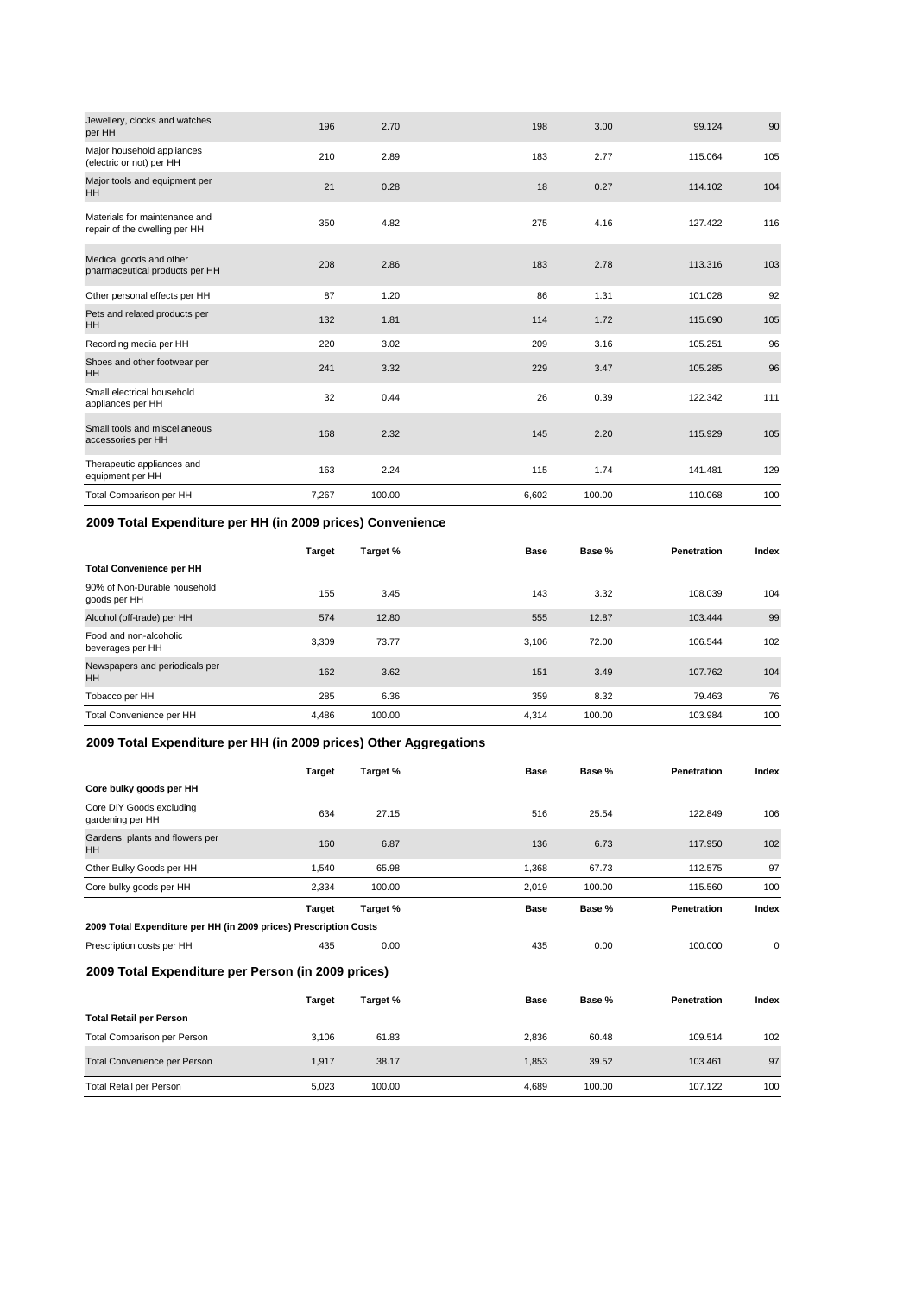| per HH                                                         | 196   | 2.70   | 198   | 3.00   | 99.124  | 90  |
|----------------------------------------------------------------|-------|--------|-------|--------|---------|-----|
| Major household appliances<br>(electric or not) per HH         | 210   | 2.89   | 183   | 2.77   | 115.064 | 105 |
| Major tools and equipment per<br><b>HH</b>                     | 21    | 0.28   | 18    | 0.27   | 114.102 | 104 |
| Materials for maintenance and<br>repair of the dwelling per HH | 350   | 4.82   | 275   | 4.16   | 127.422 | 116 |
| Medical goods and other<br>pharmaceutical products per HH      | 208   | 2.86   | 183   | 2.78   | 113.316 | 103 |
| Other personal effects per HH                                  | 87    | 1.20   | 86    | 1.31   | 101.028 | 92  |
| Pets and related products per<br><b>HH</b>                     | 132   | 1.81   | 114   | 1.72   | 115.690 | 105 |
| Recording media per HH                                         | 220   | 3.02   | 209   | 3.16   | 105.251 | 96  |
| Shoes and other footwear per<br><b>HH</b>                      | 241   | 3.32   | 229   | 3.47   | 105.285 | 96  |
| Small electrical household<br>appliances per HH                | 32    | 0.44   | 26    | 0.39   | 122.342 | 111 |
| Small tools and miscellaneous<br>accessories per HH            | 168   | 2.32   | 145   | 2.20   | 115.929 | 105 |
| Therapeutic appliances and<br>equipment per HH                 | 163   | 2.24   | 115   | 1.74   | 141.481 | 129 |
| Total Comparison per HH                                        | 7,267 | 100.00 | 6,602 | 100.00 | 110.068 | 100 |

### **2009 Total Expenditure per HH (in 2009 prices) Convenience**

|                                              | <b>Target</b> | Target % | Base  | Base % | Penetration | Index |
|----------------------------------------------|---------------|----------|-------|--------|-------------|-------|
| <b>Total Convenience per HH</b>              |               |          |       |        |             |       |
| 90% of Non-Durable household<br>goods per HH | 155           | 3.45     | 143   | 3.32   | 108.039     | 104   |
| Alcohol (off-trade) per HH                   | 574           | 12.80    | 555   | 12.87  | 103.444     | 99    |
| Food and non-alcoholic<br>beverages per HH   | 3.309         | 73.77    | 3.106 | 72.00  | 106.544     | 102   |
| Newspapers and periodicals per<br><b>HH</b>  | 162           | 3.62     | 151   | 3.49   | 107.762     | 104   |
| Tobacco per HH                               | 285           | 6.36     | 359   | 8.32   | 79.463      | 76    |
| Total Convenience per HH                     | 4,486         | 100.00   | 4.314 | 100.00 | 103.984     | 100   |

### **2009 Total Expenditure per HH (in 2009 prices) Other Aggregations**

|                                                                   | Target | Target % | <b>Base</b> | Base % | Penetration | Index |
|-------------------------------------------------------------------|--------|----------|-------------|--------|-------------|-------|
| Core bulky goods per HH                                           |        |          |             |        |             |       |
| Core DIY Goods excluding<br>gardening per HH                      | 634    | 27.15    | 516         | 25.54  | 122.849     | 106   |
| Gardens, plants and flowers per<br><b>HH</b>                      | 160    | 6.87     | 136         | 6.73   | 117.950     | 102   |
| Other Bulky Goods per HH                                          | 1,540  | 65.98    | 1,368       | 67.73  | 112.575     | 97    |
| Core bulky goods per HH                                           | 2,334  | 100.00   | 2,019       | 100.00 | 115,560     | 100   |
|                                                                   | Target | Target % | <b>Base</b> | Base % | Penetration | Index |
| 2009 Total Expenditure per HH (in 2009 prices) Prescription Costs |        |          |             |        |             |       |
| Prescription costs per HH                                         | 435    | 0.00     | 435         | 0.00   | 100.000     | 0     |
| 2009 Total Expenditure per Person (in 2009 prices)                |        |          |             |        |             |       |
|                                                                   | Target | Target % | <b>Base</b> | Base % | Penetration | Index |
| <b>Total Retail per Person</b>                                    |        |          |             |        |             |       |
| Total Comparison per Person                                       | 3,106  | 61.83    | 2,836       | 60.48  | 109.514     | 102   |
| Total Convenience per Person                                      | 1,917  | 38.17    | 1,853       | 39.52  | 103.461     | 97    |
| <b>Total Retail per Person</b>                                    | 5,023  | 100.00   | 4,689       | 100.00 | 107.122     | 100   |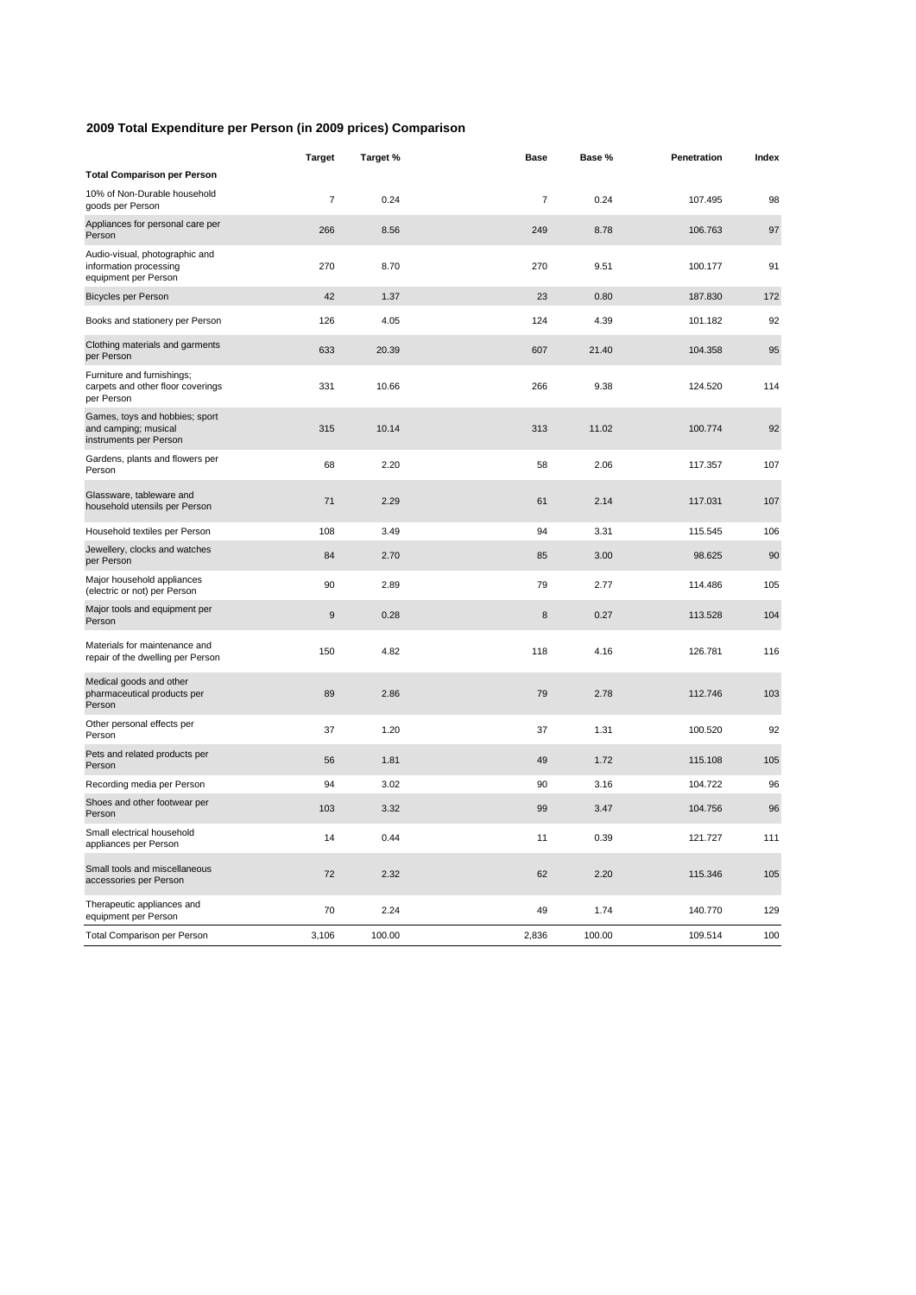### **2009 Total Expenditure per Person (in 2009 prices) Comparison**

|                                                                                  | <b>Target</b>    | Target % | <b>Base</b>    | Base % | Penetration | Index |
|----------------------------------------------------------------------------------|------------------|----------|----------------|--------|-------------|-------|
| <b>Total Comparison per Person</b>                                               |                  |          |                |        |             |       |
| 10% of Non-Durable household<br>goods per Person                                 | $\overline{7}$   | 0.24     | $\overline{7}$ | 0.24   | 107.495     | 98    |
| Appliances for personal care per<br>Person                                       | 266              | 8.56     | 249            | 8.78   | 106.763     | 97    |
| Audio-visual, photographic and<br>information processing<br>equipment per Person | 270              | 8.70     | 270            | 9.51   | 100.177     | 91    |
| <b>Bicycles per Person</b>                                                       | 42               | 1.37     | 23             | 0.80   | 187.830     | 172   |
| Books and stationery per Person                                                  | 126              | 4.05     | 124            | 4.39   | 101.182     | 92    |
| Clothing materials and garments<br>per Person                                    | 633              | 20.39    | 607            | 21.40  | 104.358     | 95    |
| Furniture and furnishings;<br>carpets and other floor coverings<br>per Person    | 331              | 10.66    | 266            | 9.38   | 124.520     | 114   |
| Games, toys and hobbies; sport<br>and camping; musical<br>instruments per Person | 315              | 10.14    | 313            | 11.02  | 100.774     | 92    |
| Gardens, plants and flowers per<br>Person                                        | 68               | 2.20     | 58             | 2.06   | 117.357     | 107   |
| Glassware, tableware and<br>household utensils per Person                        | 71               | 2.29     | 61             | 2.14   | 117.031     | 107   |
| Household textiles per Person                                                    | 108              | 3.49     | 94             | 3.31   | 115.545     | 106   |
| Jewellery, clocks and watches<br>per Person                                      | 84               | 2.70     | 85             | 3.00   | 98.625      | 90    |
| Major household appliances<br>(electric or not) per Person                       | 90               | 2.89     | 79             | 2.77   | 114.486     | 105   |
| Major tools and equipment per<br>Person                                          | $\boldsymbol{9}$ | 0.28     | 8              | 0.27   | 113.528     | 104   |
| Materials for maintenance and<br>repair of the dwelling per Person               | 150              | 4.82     | 118            | 4.16   | 126.781     | 116   |
| Medical goods and other<br>pharmaceutical products per<br>Person                 | 89               | 2.86     | 79             | 2.78   | 112.746     | 103   |
| Other personal effects per<br>Person                                             | 37               | 1.20     | 37             | 1.31   | 100.520     | 92    |
| Pets and related products per<br>Person                                          | 56               | 1.81     | 49             | 1.72   | 115.108     | 105   |
| Recording media per Person                                                       | 94               | 3.02     | 90             | 3.16   | 104.722     | 96    |
| Shoes and other footwear per<br>Person                                           | 103              | 3.32     | 99             | 3.47   | 104.756     | 96    |
| Small electrical household<br>appliances per Person                              | 14               | 0.44     | 11             | 0.39   | 121.727     | 111   |
| Small tools and miscellaneous<br>accessories per Person                          | 72               | 2.32     | 62             | 2.20   | 115.346     | 105   |
| Therapeutic appliances and<br>equipment per Person                               | 70               | 2.24     | 49             | 1.74   | 140.770     | 129   |
| Total Comparison per Person                                                      | 3,106            | 100.00   | 2,836          | 100.00 | 109.514     | 100   |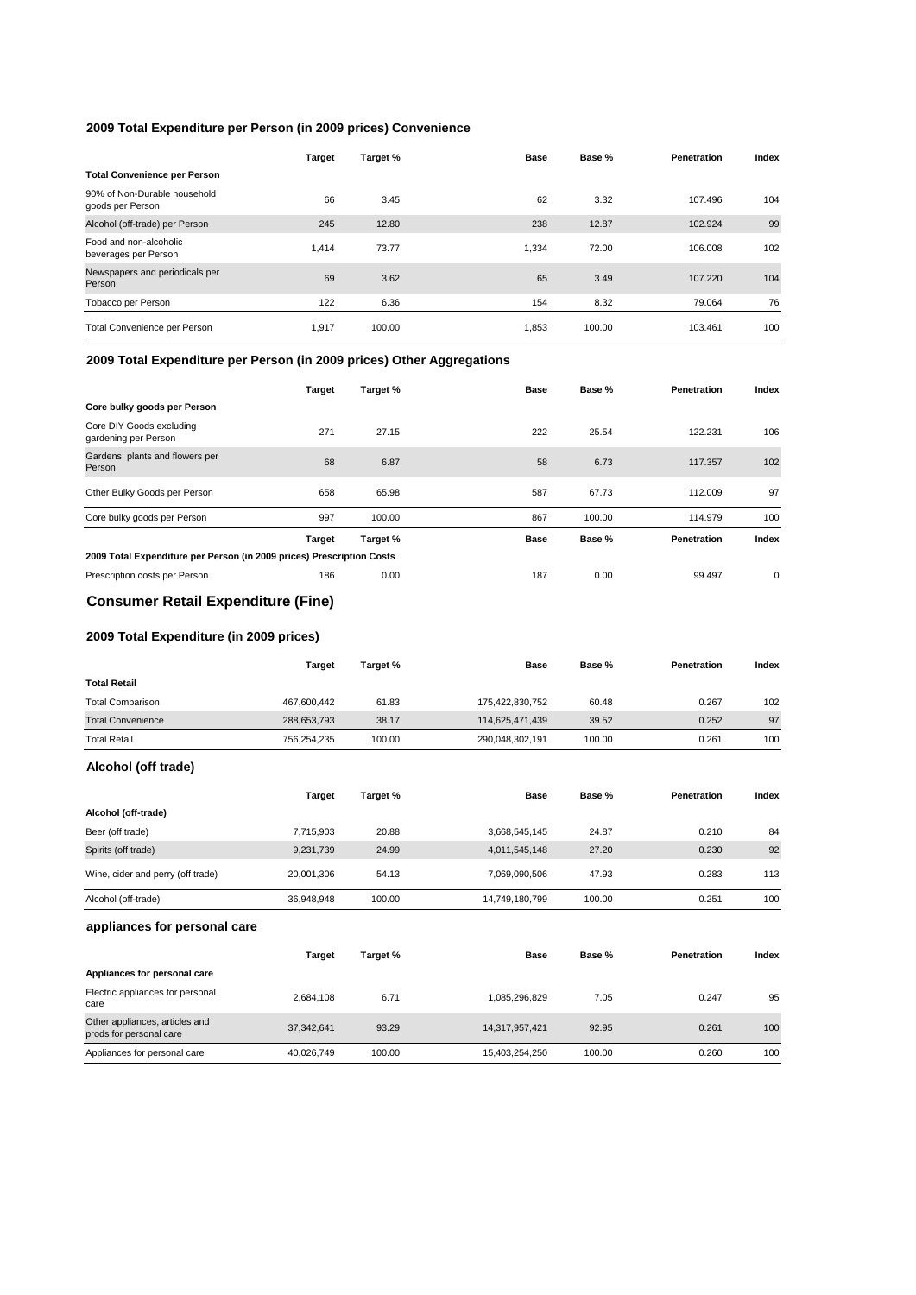### **2009 Total Expenditure per Person (in 2009 prices) Convenience**

|                                                  | Target | Target % | Base  | Base % | Penetration | Index |
|--------------------------------------------------|--------|----------|-------|--------|-------------|-------|
| <b>Total Convenience per Person</b>              |        |          |       |        |             |       |
| 90% of Non-Durable household<br>goods per Person | 66     | 3.45     | 62    | 3.32   | 107.496     | 104   |
| Alcohol (off-trade) per Person                   | 245    | 12.80    | 238   | 12.87  | 102.924     | 99    |
| Food and non-alcoholic<br>beverages per Person   | 1.414  | 73.77    | 1.334 | 72.00  | 106.008     | 102   |
| Newspapers and periodicals per<br>Person         | 69     | 3.62     | 65    | 3.49   | 107.220     | 104   |
| Tobacco per Person                               | 122    | 6.36     | 154   | 8.32   | 79.064      | 76    |
| Total Convenience per Person                     | 1,917  | 100.00   | 1,853 | 100.00 | 103.461     | 100   |

#### **2009 Total Expenditure per Person (in 2009 prices) Other Aggregations**

|                                                                       | <b>Target</b> | Target % | <b>Base</b> | Base % | Penetration | Index       |
|-----------------------------------------------------------------------|---------------|----------|-------------|--------|-------------|-------------|
| Core bulky goods per Person                                           |               |          |             |        |             |             |
| Core DIY Goods excluding<br>gardening per Person                      | 271           | 27.15    | 222         | 25.54  | 122.231     | 106         |
| Gardens, plants and flowers per<br>Person                             | 68            | 6.87     | 58          | 6.73   | 117.357     | 102         |
| Other Bulky Goods per Person                                          | 658           | 65.98    | 587         | 67.73  | 112.009     | 97          |
| Core bulky goods per Person                                           | 997           | 100.00   | 867         | 100.00 | 114.979     | 100         |
|                                                                       | <b>Target</b> | Target % | Base        | Base % | Penetration | Index       |
| 2009 Total Expenditure per Person (in 2009 prices) Prescription Costs |               |          |             |        |             |             |
| Prescription costs per Person                                         | 186           | 0.00     | 187         | 0.00   | 99.497      | $\mathbf 0$ |

### **Consumer Retail Expenditure (Fine)**

### **2009 Total Expenditure (in 2009 prices)**

|                                   | <b>Target</b> | Target % | <b>Base</b>     | Base % | Penetration | Index |
|-----------------------------------|---------------|----------|-----------------|--------|-------------|-------|
| <b>Total Retail</b>               |               |          |                 |        |             |       |
| <b>Total Comparison</b>           | 467,600,442   | 61.83    | 175,422,830,752 | 60.48  | 0.267       | 102   |
| <b>Total Convenience</b>          | 288,653,793   | 38.17    | 114,625,471,439 | 39.52  | 0.252       | 97    |
| <b>Total Retail</b>               | 756,254,235   | 100.00   | 290,048,302,191 | 100.00 | 0.261       | 100   |
| Alcohol (off trade)               |               |          |                 |        |             |       |
|                                   | Target        | Target % | <b>Base</b>     | Base % | Penetration | Index |
| Alcohol (off-trade)               |               |          |                 |        |             |       |
| Beer (off trade)                  | 7,715,903     | 20.88    | 3,668,545,145   | 24.87  | 0.210       | 84    |
| Spirits (off trade)               | 9,231,739     | 24.99    | 4,011,545,148   | 27.20  | 0.230       | 92    |
| Wine, cider and perry (off trade) | 20,001,306    | 54.13    | 7,069,090,506   | 47.93  | 0.283       | 113   |
| Alcohol (off-trade)               | 36,948,948    | 100.00   | 14,749,180,799  | 100.00 | 0.251       | 100   |
| appliances for personal care      |               |          |                 |        |             |       |
|                                   | <b>Target</b> | Target % | <b>Base</b>     | Base % | Penetration | Index |

| Appliances for personal care                              |            |        |                |        |       |     |
|-----------------------------------------------------------|------------|--------|----------------|--------|-------|-----|
| Electric appliances for personal<br>care                  | 2.684.108  | 6.71   | 1.085.296.829  | 7.05   | 0.247 | 95  |
| Other appliances, articles and<br>prods for personal care | 37.342.641 | 93.29  | 14.317.957.421 | 92.95  | 0.261 | 100 |
| Appliances for personal care                              | 40,026,749 | 100.00 | 15,403,254,250 | 100.00 | 0.260 | 100 |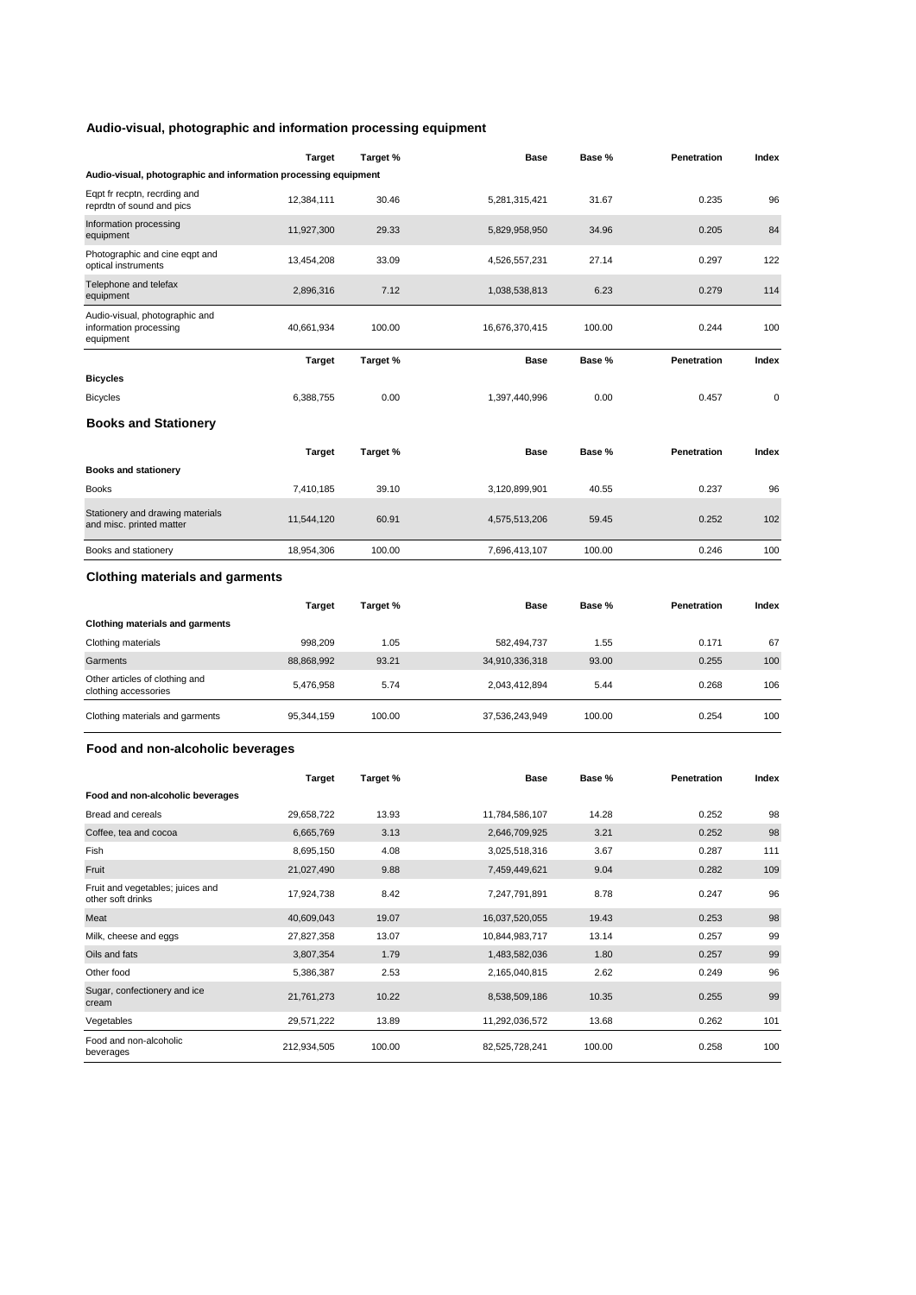### **Audio-visual, photographic and information processing equipment**

|                                                                       | Target        | Target % | <b>Base</b>    | Base % | Penetration | Index |
|-----------------------------------------------------------------------|---------------|----------|----------------|--------|-------------|-------|
| Audio-visual, photographic and information processing equipment       |               |          |                |        |             |       |
| Eqpt fr recptn, recrding and<br>reprdtn of sound and pics             | 12,384,111    | 30.46    | 5,281,315,421  | 31.67  | 0.235       | 96    |
| Information processing<br>equipment                                   | 11,927,300    | 29.33    | 5,829,958,950  | 34.96  | 0.205       | 84    |
| Photographic and cine eqpt and<br>optical instruments                 | 13,454,208    | 33.09    | 4,526,557,231  | 27.14  | 0.297       | 122   |
| Telephone and telefax<br>equipment                                    | 2,896,316     | 7.12     | 1,038,538,813  | 6.23   | 0.279       | 114   |
| Audio-visual, photographic and<br>information processing<br>equipment | 40,661,934    | 100.00   | 16,676,370,415 | 100.00 | 0.244       | 100   |
| <b>Bicycles</b>                                                       | Target        | Target % | <b>Base</b>    | Base % | Penetration | Index |
| <b>Bicycles</b>                                                       | 6,388,755     | 0.00     | 1,397,440,996  | 0.00   | 0.457       | 0     |
| <b>Books and Stationery</b>                                           |               |          |                |        |             |       |
|                                                                       | <b>Target</b> | Target % | <b>Base</b>    | Base % | Penetration | Index |
| <b>Books and stationery</b>                                           |               |          |                |        |             |       |
| <b>Books</b>                                                          | 7,410,185     | 39.10    | 3,120,899,901  | 40.55  | 0.237       | 96    |
| Stationery and drawing materials<br>and misc. printed matter          | 11,544,120    | 60.91    | 4,575,513,206  | 59.45  | 0.252       | 102   |
| Books and stationery                                                  | 18,954,306    | 100.00   | 7,696,413,107  | 100.00 | 0.246       | 100   |
| <b>Clothing materials and garments</b>                                |               |          |                |        |             |       |
|                                                                       | <b>Target</b> | Target % | Base           | Base % | Penetration | Index |
| <b>Clothing materials and garments</b>                                |               |          |                |        |             |       |
| Clothing materials                                                    | 998,209       | 1.05     | 582,494,737    | 1.55   | 0.171       | 67    |
| Garments                                                              | 88,868,992    | 93.21    | 34,910,336,318 | 93.00  | 0.255       | 100   |
| Other articles of clothing and<br>clothing accessories                | 5,476,958     | 5.74     | 2,043,412,894  | 5.44   | 0.268       | 106   |
| Clothing materials and garments                                       | 95,344,159    | 100.00   | 37,536,243,949 | 100.00 | 0.254       | 100   |
| Food and non-alcoholic beverages                                      |               |          |                |        |             |       |
|                                                                       | Target        | Target % | Base           | Base % | Penetration | Index |
| Food and non-alcoholic beverages                                      |               |          |                |        |             |       |
| Bread and cereals                                                     | 29,658,722    | 13.93    | 11,784,586,107 | 14.28  | 0.252       | 98    |
| Coffee, tea and cocoa                                                 | 6,665,769     | 3.13     | 2,646,709,925  | 3.21   | 0.252       | 98    |
| Fish                                                                  | 8,695,150     | 4.08     | 3,025,518,316  | 3.67   | 0.287       | 111   |
| Fruit                                                                 | 21,027,490    | 9.88     | 7,459,449,621  | 9.04   | 0.282       | 109   |
| Fruit and vegetables; juices and<br>other soft drinks                 | 17,924,738    | 8.42     | 7,247,791,891  | 8.78   | 0.247       | 96    |
| Meat                                                                  | 40,609,043    | 19.07    | 16,037,520,055 | 19.43  | 0.253       | 98    |
| Milk, cheese and eggs                                                 | 27,827,358    | 13.07    | 10,844,983,717 | 13.14  | 0.257       | 99    |
| Oils and fats                                                         | 3,807,354     | 1.79     | 1,483,582,036  | 1.80   | 0.257       | 99    |
| Other food                                                            | 5,386,387     | 2.53     | 2,165,040,815  | 2.62   | 0.249       | 96    |
| Sugar, confectionery and ice<br>cream                                 | 21,761,273    | 10.22    | 8,538,509,186  | 10.35  | 0.255       | 99    |
| Vegetables                                                            | 29,571,222    | 13.89    | 11,292,036,572 | 13.68  | 0.262       | 101   |
| Food and non-alcoholic<br>beverages                                   | 212,934,505   | 100.00   | 82,525,728,241 | 100.00 | 0.258       | 100   |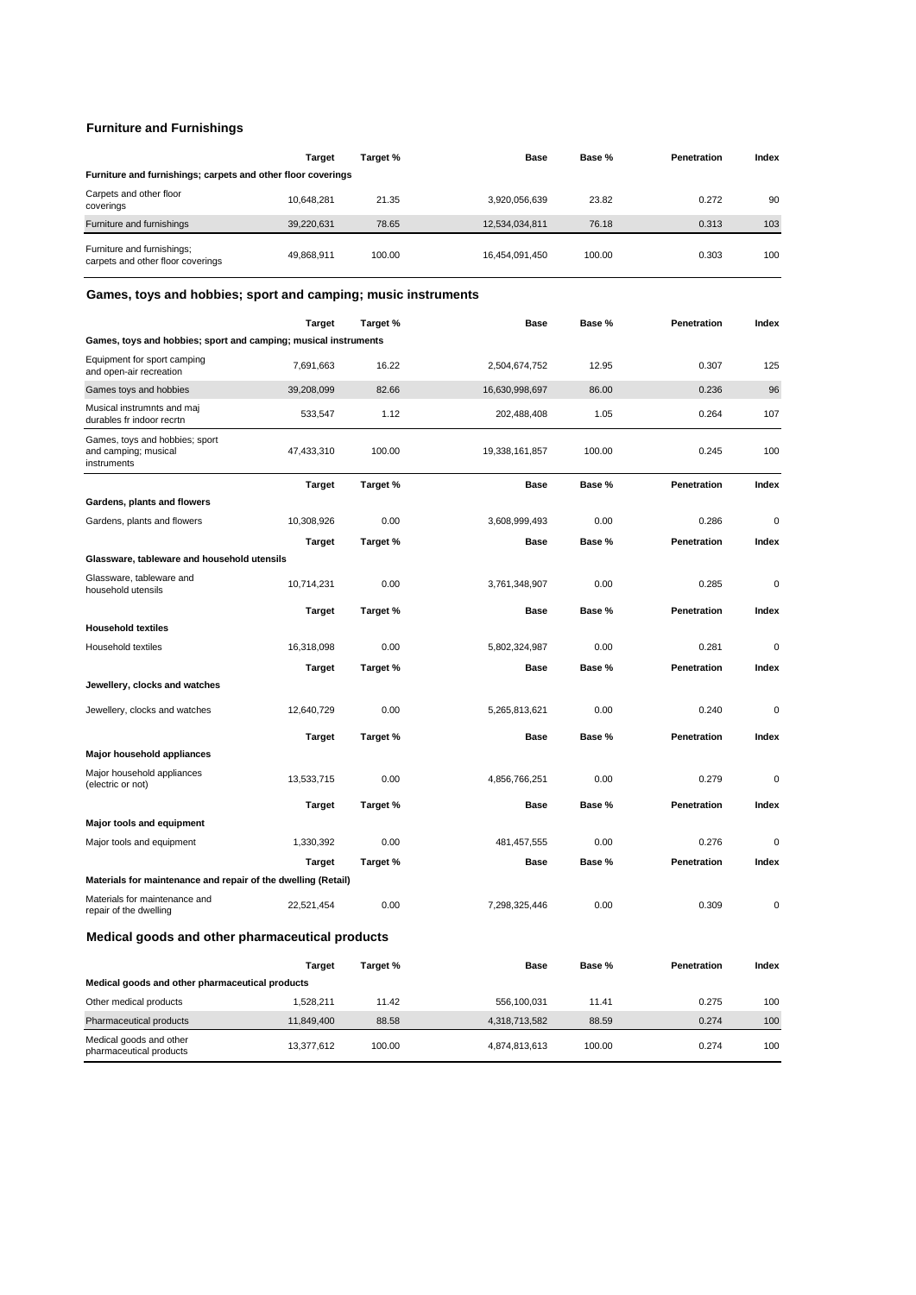### **Furniture and Furnishings**

|                                                                 | <b>Target</b> | Target % | <b>Base</b>    | Base % | Penetration | Index |  |  |
|-----------------------------------------------------------------|---------------|----------|----------------|--------|-------------|-------|--|--|
| Furniture and furnishings; carpets and other floor coverings    |               |          |                |        |             |       |  |  |
| Carpets and other floor<br>coverings                            | 10.648.281    | 21.35    | 3,920,056,639  | 23.82  | 0.272       | 90    |  |  |
| Furniture and furnishings                                       | 39,220,631    | 78.65    | 12,534,034,811 | 76.18  | 0.313       | 103   |  |  |
| Furniture and furnishings;<br>carpets and other floor coverings | 49,868,911    | 100.00   | 16.454.091.450 | 100.00 | 0.303       | 100   |  |  |

### **Games, toys and hobbies; sport and camping; music instruments**

|                                                                       | <b>Target</b> | Target % | <b>Base</b>    | Base % | Penetration | Index       |
|-----------------------------------------------------------------------|---------------|----------|----------------|--------|-------------|-------------|
| Games, toys and hobbies; sport and camping; musical instruments       |               |          |                |        |             |             |
| Equipment for sport camping<br>and open-air recreation                | 7,691,663     | 16.22    | 2,504,674,752  | 12.95  | 0.307       | 125         |
| Games toys and hobbies                                                | 39,208,099    | 82.66    | 16,630,998,697 | 86.00  | 0.236       | 96          |
| Musical instrumnts and maj<br>durables fr indoor recrtn               | 533,547       | 1.12     | 202,488,408    | 1.05   | 0.264       | 107         |
| Games, toys and hobbies; sport<br>and camping; musical<br>instruments | 47,433,310    | 100.00   | 19,338,161,857 | 100.00 | 0.245       | 100         |
|                                                                       | <b>Target</b> | Target % | Base           | Base % | Penetration | Index       |
| Gardens, plants and flowers                                           |               |          |                |        |             |             |
| Gardens, plants and flowers                                           | 10,308,926    | 0.00     | 3,608,999,493  | 0.00   | 0.286       | $\mathbf 0$ |
|                                                                       | <b>Target</b> | Target % | Base           | Base % | Penetration | Index       |
| Glassware, tableware and household utensils                           |               |          |                |        |             |             |
| Glassware, tableware and<br>household utensils                        | 10,714,231    | 0.00     | 3,761,348,907  | 0.00   | 0.285       | 0           |
|                                                                       | Target        | Target % | Base           | Base % | Penetration | Index       |
| <b>Household textiles</b>                                             |               |          |                |        |             |             |
| Household textiles                                                    | 16,318,098    | 0.00     | 5,802,324,987  | 0.00   | 0.281       | 0           |
|                                                                       | <b>Target</b> | Target % | <b>Base</b>    | Base % | Penetration | Index       |
| Jewellery, clocks and watches                                         |               |          |                |        |             |             |
| Jewellery, clocks and watches                                         | 12,640,729    | 0.00     | 5,265,813,621  | 0.00   | 0.240       | 0           |
|                                                                       | <b>Target</b> | Target % | <b>Base</b>    | Base % | Penetration | Index       |
| Major household appliances                                            |               |          |                |        |             |             |
| Major household appliances<br>(electric or not)                       | 13,533,715    | 0.00     | 4,856,766,251  | 0.00   | 0.279       | 0           |
|                                                                       | Target        | Target % | Base           | Base % | Penetration | Index       |
| Major tools and equipment                                             |               |          |                |        |             |             |
| Major tools and equipment                                             | 1,330,392     | 0.00     | 481,457,555    | 0.00   | 0.276       | $\mathbf 0$ |
|                                                                       | <b>Target</b> | Target % | Base           | Base % | Penetration | Index       |
| Materials for maintenance and repair of the dwelling (Retail)         |               |          |                |        |             |             |
| Materials for maintenance and<br>repair of the dwelling               | 22,521,454    | 0.00     | 7,298,325,446  | 0.00   | 0.309       | $\mathbf 0$ |
| Medical goods and other pharmaceutical products                       |               |          |                |        |             |             |
|                                                                       | Target        | Target % | Base           | Base % | Penetration | Index       |
| Medical goods and other pharmaceutical products                       |               |          |                |        |             |             |
| Other medical products                                                | 1,528,211     | 11.42    | 556,100,031    | 11.41  | 0.275       | 100         |
| Pharmaceutical products                                               | 11,849,400    | 88.58    | 4,318,713,582  | 88.59  | 0.274       | 100         |
| Medical goods and other<br>pharmaceutical products                    | 13,377,612    | 100.00   | 4,874,813,613  | 100.00 | 0.274       | 100         |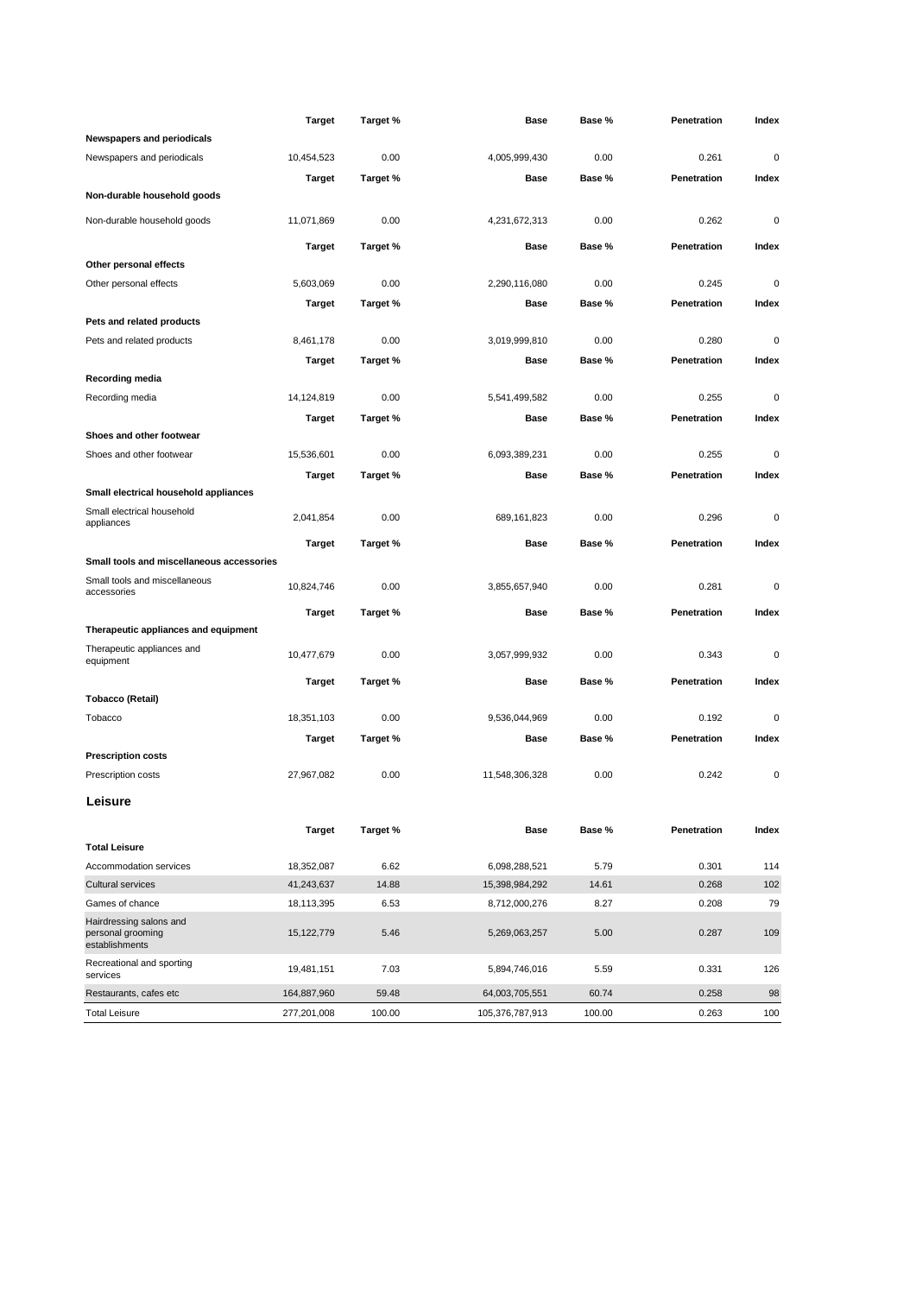|                                                                | <b>Target</b> | Target % | Base            | Base % | Penetration | Index       |
|----------------------------------------------------------------|---------------|----------|-----------------|--------|-------------|-------------|
| Newspapers and periodicals                                     |               |          |                 |        |             |             |
| Newspapers and periodicals                                     | 10,454,523    | 0.00     | 4,005,999,430   | 0.00   | 0.261       | $\mathbf 0$ |
|                                                                | Target        | Target % | Base            | Base % | Penetration | Index       |
| Non-durable household goods                                    |               |          |                 |        |             |             |
| Non-durable household goods                                    | 11,071,869    | 0.00     | 4,231,672,313   | 0.00   | 0.262       | $\mathbf 0$ |
|                                                                | <b>Target</b> | Target % | <b>Base</b>     | Base % | Penetration | Index       |
| Other personal effects                                         |               |          |                 |        |             |             |
| Other personal effects                                         | 5,603,069     | 0.00     | 2,290,116,080   | 0.00   | 0.245       | $\mathbf 0$ |
|                                                                | <b>Target</b> | Target % | Base            | Base % | Penetration | Index       |
| Pets and related products                                      |               |          |                 |        |             |             |
| Pets and related products                                      | 8,461,178     | 0.00     | 3,019,999,810   | 0.00   | 0.280       | $\mathbf 0$ |
|                                                                | Target        | Target % | Base            | Base % | Penetration | Index       |
| Recording media                                                |               |          |                 |        |             |             |
| Recording media                                                | 14,124,819    | 0.00     | 5,541,499,582   | 0.00   | 0.255       | $\mathbf 0$ |
|                                                                | Target        | Target % | <b>Base</b>     | Base % | Penetration | Index       |
| Shoes and other footwear                                       |               |          |                 |        |             |             |
| Shoes and other footwear                                       | 15,536,601    | 0.00     | 6,093,389,231   | 0.00   | 0.255       | 0           |
|                                                                | <b>Target</b> | Target % | Base            | Base % | Penetration | Index       |
| Small electrical household appliances                          |               |          |                 |        |             |             |
| Small electrical household<br>appliances                       | 2,041,854     | 0.00     | 689,161,823     | 0.00   | 0.296       | $\mathbf 0$ |
|                                                                | <b>Target</b> | Target % | Base            | Base % | Penetration | Index       |
| Small tools and miscellaneous accessories                      |               |          |                 |        |             |             |
| Small tools and miscellaneous<br>accessories                   | 10,824,746    | 0.00     | 3,855,657,940   | 0.00   | 0.281       | 0           |
|                                                                | <b>Target</b> | Target % | Base            | Base % | Penetration | Index       |
| Therapeutic appliances and equipment                           |               |          |                 |        |             |             |
| Therapeutic appliances and<br>equipment                        | 10,477,679    | 0.00     | 3,057,999,932   | 0.00   | 0.343       | 0           |
|                                                                | Target        | Target % | Base            | Base % | Penetration | Index       |
| Tobacco (Retail)                                               |               |          |                 |        |             |             |
| Tobacco                                                        | 18,351,103    | 0.00     | 9,536,044,969   | 0.00   | 0.192       | 0           |
|                                                                | <b>Target</b> | Target % | <b>Base</b>     | Base % | Penetration | Index       |
| <b>Prescription costs</b>                                      |               |          |                 |        |             |             |
| Prescription costs                                             | 27,967,082    | 0.00     | 11,548,306,328  | 0.00   | 0.242       | 0           |
| Leisure                                                        |               |          |                 |        |             |             |
|                                                                | <b>Target</b> | Target % | Base            | Base % | Penetration | Index       |
| <b>Total Leisure</b>                                           |               |          |                 |        |             |             |
| Accommodation services                                         | 18,352,087    | 6.62     | 6,098,288,521   | 5.79   | 0.301       | 114         |
| <b>Cultural services</b>                                       | 41,243,637    | 14.88    | 15,398,984,292  | 14.61  | 0.268       | 102         |
| Games of chance                                                | 18,113,395    | 6.53     | 8,712,000,276   | 8.27   | 0.208       | 79          |
| Hairdressing salons and<br>personal grooming<br>establishments | 15,122,779    | 5.46     | 5,269,063,257   | 5.00   | 0.287       | 109         |
| Recreational and sporting<br>services                          | 19,481,151    | 7.03     | 5,894,746,016   | 5.59   | 0.331       | 126         |
| Restaurants, cafes etc                                         | 164,887,960   | 59.48    | 64,003,705,551  | 60.74  | 0.258       | 98          |
| <b>Total Leisure</b>                                           | 277,201,008   | 100.00   | 105,376,787,913 | 100.00 | 0.263       | 100         |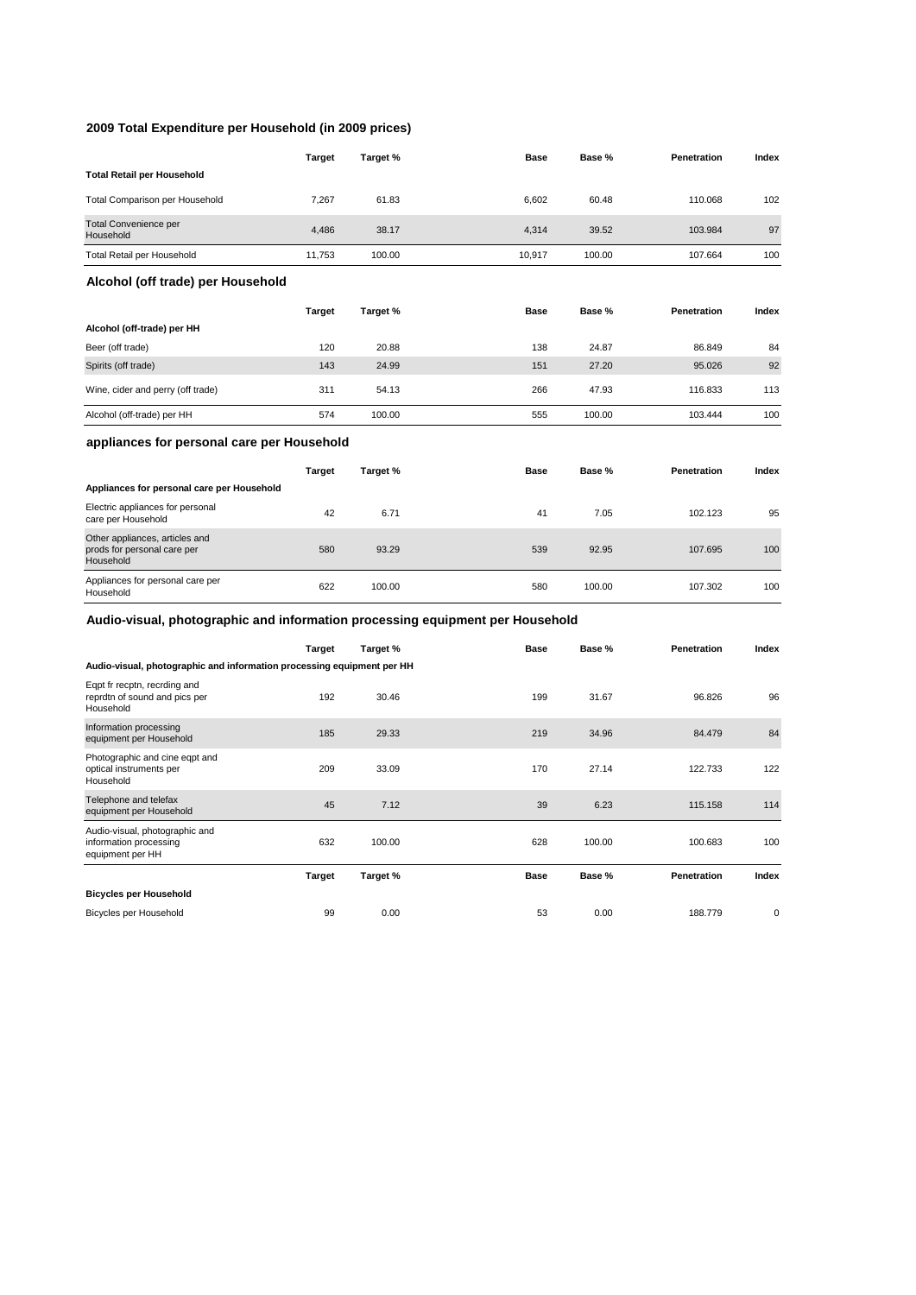#### **2009 Total Expenditure per Household (in 2009 prices)**

Photographic and cine eqpt and optical instruments per Household

Audio-visual, photographic and information processing equipment per HH

**Bicycles per Household**

|                                                                               | <b>Target</b> | Target % | Base   | Base % | Penetration | Index |
|-------------------------------------------------------------------------------|---------------|----------|--------|--------|-------------|-------|
| <b>Total Retail per Household</b>                                             |               |          |        |        |             |       |
| <b>Total Comparison per Household</b>                                         | 7,267         | 61.83    | 6,602  | 60.48  | 110.068     | 102   |
| Total Convenience per<br>Household                                            | 4,486         | 38.17    | 4,314  | 39.52  | 103.984     | 97    |
| Total Retail per Household                                                    | 11,753        | 100.00   | 10,917 | 100.00 | 107.664     | 100   |
| Alcohol (off trade) per Household                                             |               |          |        |        |             |       |
|                                                                               | <b>Target</b> | Target % | Base   | Base % | Penetration | Index |
| Alcohol (off-trade) per HH                                                    |               |          |        |        |             |       |
| Beer (off trade)                                                              | 120           | 20.88    | 138    | 24.87  | 86.849      | 84    |
| Spirits (off trade)                                                           | 143           | 24.99    | 151    | 27.20  | 95.026      | 92    |
| Wine, cider and perry (off trade)                                             | 311           | 54.13    | 266    | 47.93  | 116.833     | 113   |
| Alcohol (off-trade) per HH                                                    | 574           | 100.00   | 555    | 100.00 | 103.444     | 100   |
| appliances for personal care per Household                                    |               |          |        |        |             |       |
|                                                                               | <b>Target</b> | Target % | Base   | Base % | Penetration | Index |
| Appliances for personal care per Household                                    |               |          |        |        |             |       |
| Electric appliances for personal<br>care per Household                        | 42            | 6.71     | 41     | 7.05   | 102.123     | 95    |
| Other appliances, articles and<br>prods for personal care per<br>Household    | 580           | 93.29    | 539    | 92.95  | 107.695     | 100   |
| Appliances for personal care per<br>Household                                 | 622           | 100.00   | 580    | 100.00 | 107.302     | 100   |
| Audio-visual, photographic and information processing equipment per Household |               |          |        |        |             |       |
|                                                                               | <b>Target</b> | Target % | Base   | Base % | Penetration | Index |
| Audio-visual, photographic and information processing equipment per HH        |               |          |        |        |             |       |
| Eqpt fr recptn, recrding and<br>reprdtn of sound and pics per<br>Household    | 192           | 30.46    | 199    | 31.67  | 96.826      | 96    |

Information processing equipment per Household <sup>185</sup> 29.33 <sup>219</sup> 34.96 84.479 <sup>84</sup>

Telephone and telefax equipment per Household <sup>45</sup> 7.12 <sup>39</sup> 6.23 115.158 <sup>114</sup>

Bicycles per Household **188.779** 0.00 53 0.00 188.779 0

209 33.09 170 27.14 122.733 122

632 100.00 628 100.00 100.683 100

**Target Target % Base Base % Penetration Index**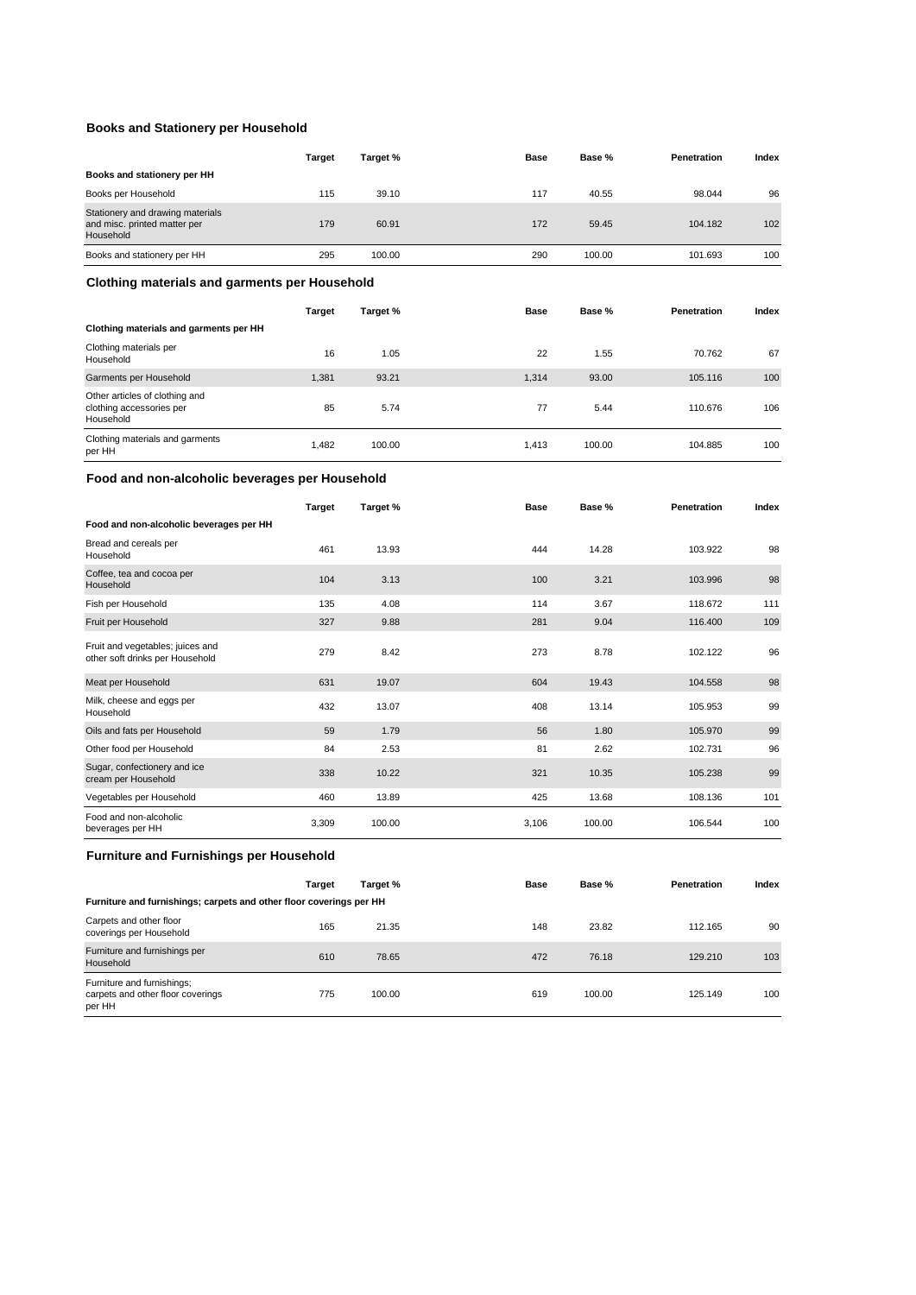### **Books and Stationery per Household**

|                                                                               | Target | Target % | <b>Base</b> | Base % | Penetration | Index |
|-------------------------------------------------------------------------------|--------|----------|-------------|--------|-------------|-------|
| Books and stationery per HH                                                   |        |          |             |        |             |       |
| Books per Household                                                           | 115    | 39.10    | 117         | 40.55  | 98.044      | 96    |
| Stationery and drawing materials<br>and misc. printed matter per<br>Household | 179    | 60.91    | 172         | 59.45  | 104.182     | 102   |
| Books and stationery per HH                                                   | 295    | 100.00   | 290         | 100.00 | 101.693     | 100   |
|                                                                               |        |          |             |        |             |       |

### **Clothing materials and garments per Household**

|                                                                         | Target | Target % | <b>Base</b> | Base % | Penetration | Index |
|-------------------------------------------------------------------------|--------|----------|-------------|--------|-------------|-------|
| Clothing materials and garments per HH                                  |        |          |             |        |             |       |
| Clothing materials per<br>Household                                     | 16     | 1.05     | 22          | 1.55   | 70.762      | 67    |
| Garments per Household                                                  | 1.381  | 93.21    | 1.314       | 93.00  | 105.116     | 100   |
| Other articles of clothing and<br>clothing accessories per<br>Household | 85     | 5.74     | 77          | 5.44   | 110.676     | 106   |
| Clothing materials and garments<br>per HH                               | 1.482  | 100.00   | 1.413       | 100.00 | 104.885     | 100   |

#### **Food and non-alcoholic beverages per Household**

|                                                                     | <b>Target</b> | Target % | Base  | Base % | Penetration | Index |
|---------------------------------------------------------------------|---------------|----------|-------|--------|-------------|-------|
| Food and non-alcoholic beverages per HH                             |               |          |       |        |             |       |
| Bread and cereals per<br>Household                                  | 461           | 13.93    | 444   | 14.28  | 103.922     | 98    |
| Coffee, tea and cocoa per<br>Household                              | 104           | 3.13     | 100   | 3.21   | 103.996     | 98    |
| Fish per Household                                                  | 135           | 4.08     | 114   | 3.67   | 118.672     | 111   |
| Fruit per Household                                                 | 327           | 9.88     | 281   | 9.04   | 116,400     | 109   |
| Fruit and vegetables; juices and<br>other soft drinks per Household | 279           | 8.42     | 273   | 8.78   | 102.122     | 96    |
| Meat per Household                                                  | 631           | 19.07    | 604   | 19.43  | 104.558     | 98    |
| Milk, cheese and eggs per<br>Household                              | 432           | 13.07    | 408   | 13.14  | 105.953     | 99    |
| Oils and fats per Household                                         | 59            | 1.79     | 56    | 1.80   | 105.970     | 99    |
| Other food per Household                                            | 84            | 2.53     | 81    | 2.62   | 102.731     | 96    |
| Sugar, confectionery and ice<br>cream per Household                 | 338           | 10.22    | 321   | 10.35  | 105.238     | 99    |
| Vegetables per Household                                            | 460           | 13.89    | 425   | 13.68  | 108.136     | 101   |
| Food and non-alcoholic<br>beverages per HH                          | 3,309         | 100.00   | 3,106 | 100.00 | 106.544     | 100   |

### **Furniture and Furnishings per Household**

|                                                                           | <b>Target</b> | Target % | <b>Base</b> | Base % | Penetration | Index |  |  |  |
|---------------------------------------------------------------------------|---------------|----------|-------------|--------|-------------|-------|--|--|--|
| Furniture and furnishings; carpets and other floor coverings per HH       |               |          |             |        |             |       |  |  |  |
| Carpets and other floor<br>coverings per Household                        | 165           | 21.35    | 148         | 23.82  | 112.165     | 90    |  |  |  |
| Furniture and furnishings per<br>Household                                | 610           | 78.65    | 472         | 76.18  | 129,210     | 103   |  |  |  |
| Furniture and furnishings;<br>carpets and other floor coverings<br>per HH | 775           | 100.00   | 619         | 100.00 | 125.149     | 100   |  |  |  |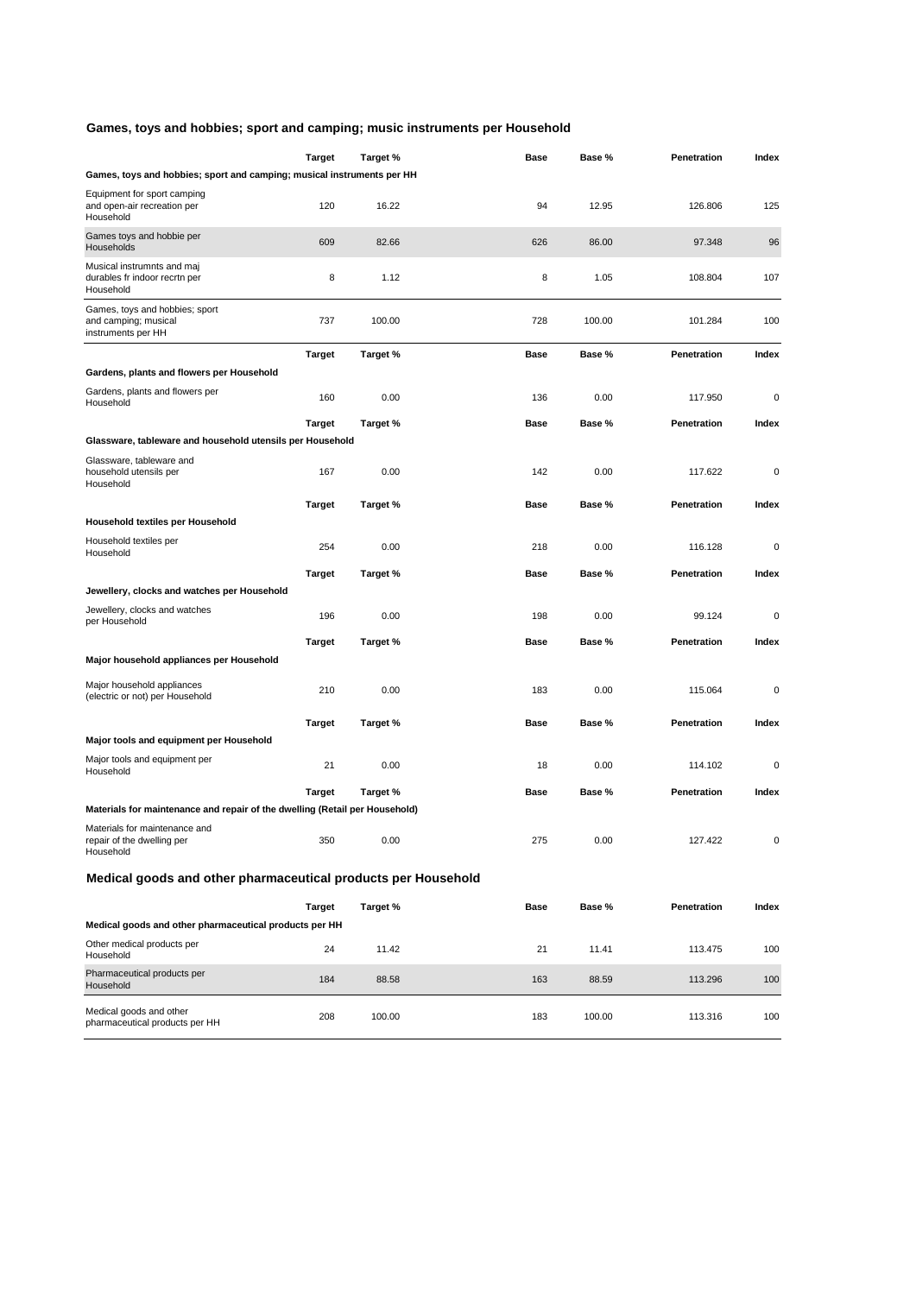### **Games, toys and hobbies; sport and camping; music instruments per Household**

|                                                                              | <b>Target</b> | Target % | Base | Base % | Penetration | Index       |
|------------------------------------------------------------------------------|---------------|----------|------|--------|-------------|-------------|
| Games, toys and hobbies; sport and camping; musical instruments per HH       |               |          |      |        |             |             |
| Equipment for sport camping<br>and open-air recreation per<br>Household      | 120           | 16.22    | 94   | 12.95  | 126.806     | 125         |
| Games toys and hobbie per<br>Households                                      | 609           | 82.66    | 626  | 86.00  | 97.348      | 96          |
| Musical instrumnts and maj<br>durables fr indoor recrtn per<br>Household     | 8             | 1.12     | 8    | 1.05   | 108.804     | 107         |
| Games, toys and hobbies; sport<br>and camping; musical<br>instruments per HH | 737           | 100.00   | 728  | 100.00 | 101.284     | 100         |
|                                                                              | Target        | Target % | Base | Base % | Penetration | Index       |
| Gardens, plants and flowers per Household                                    |               |          |      |        |             |             |
| Gardens, plants and flowers per<br>Household                                 | 160           | 0.00     | 136  | 0.00   | 117.950     | 0           |
|                                                                              | Target        | Target % | Base | Base % | Penetration | Index       |
| Glassware, tableware and household utensils per Household                    |               |          |      |        |             |             |
| Glassware, tableware and<br>household utensils per<br>Household              | 167           | 0.00     | 142  | 0.00   | 117.622     | 0           |
|                                                                              | <b>Target</b> | Target % | Base | Base % | Penetration | Index       |
| Household textiles per Household                                             |               |          |      |        |             |             |
| Household textiles per<br>Household                                          | 254           | 0.00     | 218  | 0.00   | 116.128     | 0           |
|                                                                              | Target        | Target % | Base | Base % | Penetration | Index       |
| Jewellery, clocks and watches per Household                                  |               |          |      |        |             |             |
| Jewellery, clocks and watches<br>per Household                               | 196           | 0.00     | 198  | 0.00   | 99.124      | $\mathbf 0$ |
|                                                                              | <b>Target</b> | Target % | Base | Base % | Penetration | Index       |
| Major household appliances per Household                                     |               |          |      |        |             |             |
| Major household appliances<br>(electric or not) per Household                | 210           | 0.00     | 183  | 0.00   | 115.064     | 0           |
|                                                                              | <b>Target</b> | Target % | Base | Base % | Penetration | Index       |
| Major tools and equipment per Household                                      |               |          |      |        |             |             |
| Major tools and equipment per<br>Household                                   | 21            | 0.00     | 18   | 0.00   | 114.102     | 0           |
|                                                                              | Target        | Target % | Base | Base % | Penetration | Index       |
| Materials for maintenance and repair of the dwelling (Retail per Household)  |               |          |      |        |             |             |
| Materials for maintenance and<br>repair of the dwelling per<br>Household     | 350           | 0.00     | 275  | 0.00   | 127.422     | $\pmb{0}$   |
| Medical goods and other pharmaceutical products per Household                |               |          |      |        |             |             |
|                                                                              | <b>Target</b> | Target % | Base | Base % | Penetration | Index       |
| Medical goods and other pharmaceutical products per HH                       |               |          |      |        |             |             |
| Other medical products per<br>Household                                      | 24            | 11.42    | 21   | 11.41  | 113.475     | 100         |
| Pharmaceutical products per<br>Household                                     | 184           | 88.58    | 163  | 88.59  | 113.296     | 100         |
| Medical goods and other<br>pharmaceutical products per HH                    | 208           | 100.00   | 183  | 100.00 | 113.316     | 100         |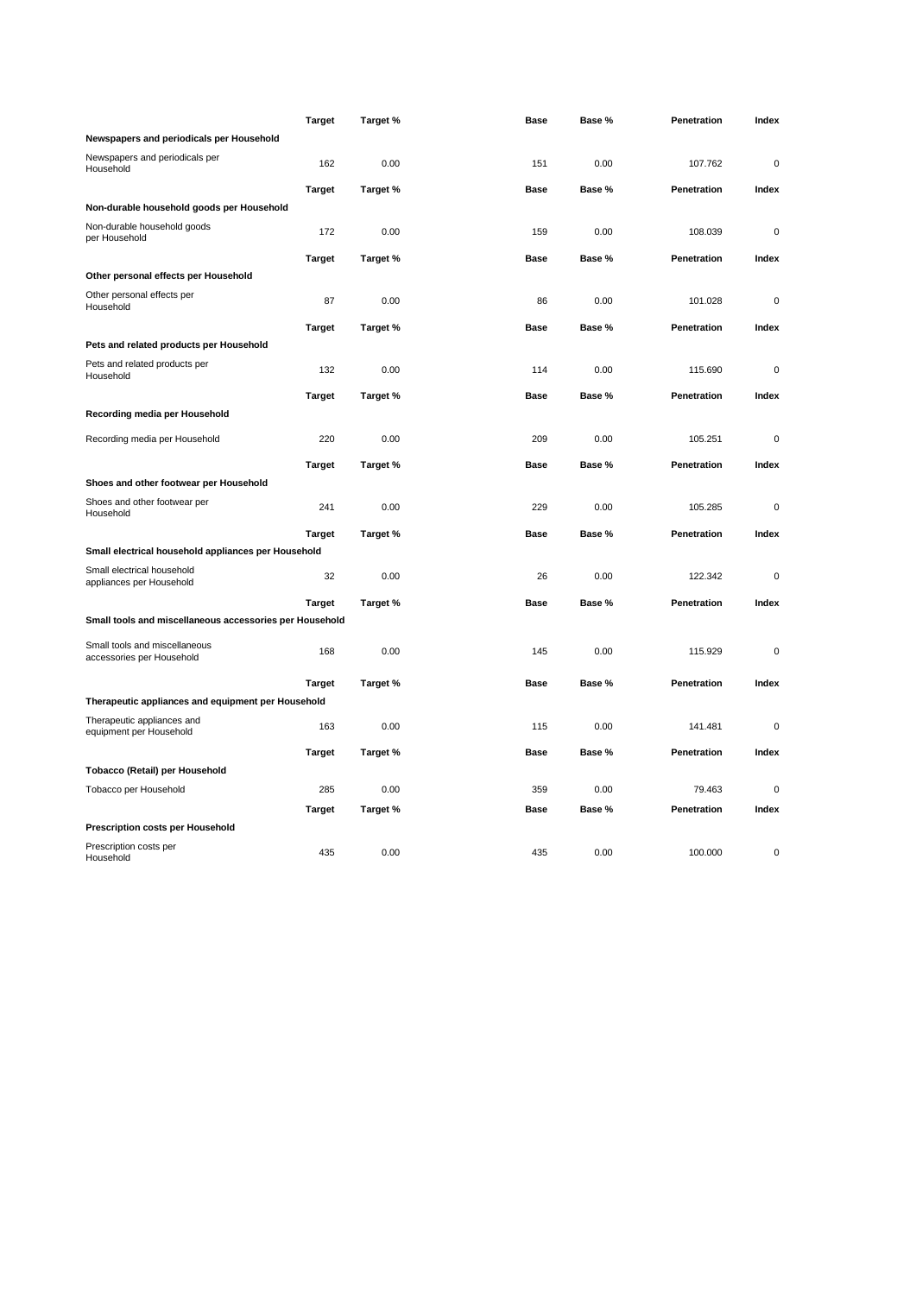|                                                            | <b>Target</b> | Target % | <b>Base</b> | Base % | Penetration | Index       |
|------------------------------------------------------------|---------------|----------|-------------|--------|-------------|-------------|
| Newspapers and periodicals per Household                   |               |          |             |        |             |             |
| Newspapers and periodicals per<br>Household                | 162           | 0.00     | 151         | 0.00   | 107.762     | 0           |
|                                                            | <b>Target</b> | Target % | Base        | Base % | Penetration | Index       |
| Non-durable household goods per Household                  |               |          |             |        |             |             |
| Non-durable household goods<br>per Household               | 172           | 0.00     | 159         | 0.00   | 108.039     | $\mathbf 0$ |
|                                                            | <b>Target</b> | Target % | <b>Base</b> | Base % | Penetration | Index       |
| Other personal effects per Household                       |               |          |             |        |             |             |
| Other personal effects per<br>Household                    | 87            | 0.00     | 86          | 0.00   | 101.028     | $\mathbf 0$ |
|                                                            | <b>Target</b> | Target % | Base        | Base % | Penetration | Index       |
| Pets and related products per Household                    |               |          |             |        |             |             |
| Pets and related products per<br>Household                 | 132           | 0.00     | 114         | 0.00   | 115.690     | $\mathbf 0$ |
|                                                            | <b>Target</b> | Target % | <b>Base</b> | Base % | Penetration | Index       |
| Recording media per Household                              |               |          |             |        |             |             |
|                                                            | 220           | 0.00     | 209         | 0.00   |             | $\mathbf 0$ |
| Recording media per Household                              |               |          |             |        | 105.251     |             |
|                                                            | <b>Target</b> | Target % | Base        | Base % | Penetration | Index       |
| Shoes and other footwear per Household                     |               |          |             |        |             |             |
| Shoes and other footwear per<br>Household                  | 241           | 0.00     | 229         | 0.00   | 105.285     | $\mathbf 0$ |
|                                                            | <b>Target</b> | Target % | Base        | Base % | Penetration | Index       |
| Small electrical household appliances per Household        |               |          |             |        |             |             |
| Small electrical household<br>appliances per Household     | 32            | 0.00     | 26          | 0.00   | 122.342     | $\mathbf 0$ |
|                                                            | <b>Target</b> | Target % | <b>Base</b> | Base % | Penetration | Index       |
| Small tools and miscellaneous accessories per Household    |               |          |             |        |             |             |
| Small tools and miscellaneous<br>accessories per Household | 168           | 0.00     | 145         | 0.00   | 115.929     | $\mathbf 0$ |
|                                                            |               |          |             |        |             |             |
|                                                            | <b>Target</b> | Target % | <b>Base</b> | Base % | Penetration | Index       |
| Therapeutic appliances and equipment per Household         |               |          |             |        |             |             |
| Therapeutic appliances and<br>equipment per Household      | 163           | 0.00     | 115         | 0.00   | 141.481     | $\mathbf 0$ |
|                                                            | <b>Target</b> | Target % | <b>Base</b> | Base % | Penetration | Index       |
| Tobacco (Retail) per Household                             |               |          |             |        |             |             |
| Tobacco per Household                                      | 285           | 0.00     | 359         | 0.00   | 79.463      | $\mathbf 0$ |
|                                                            | <b>Target</b> | Target % | Base        | Base % | Penetration | Index       |
| Prescription costs per Household                           |               |          |             |        |             |             |
| Prescription costs per<br>Household                        | 435           | 0.00     | 435         | 0.00   | 100.000     | 0           |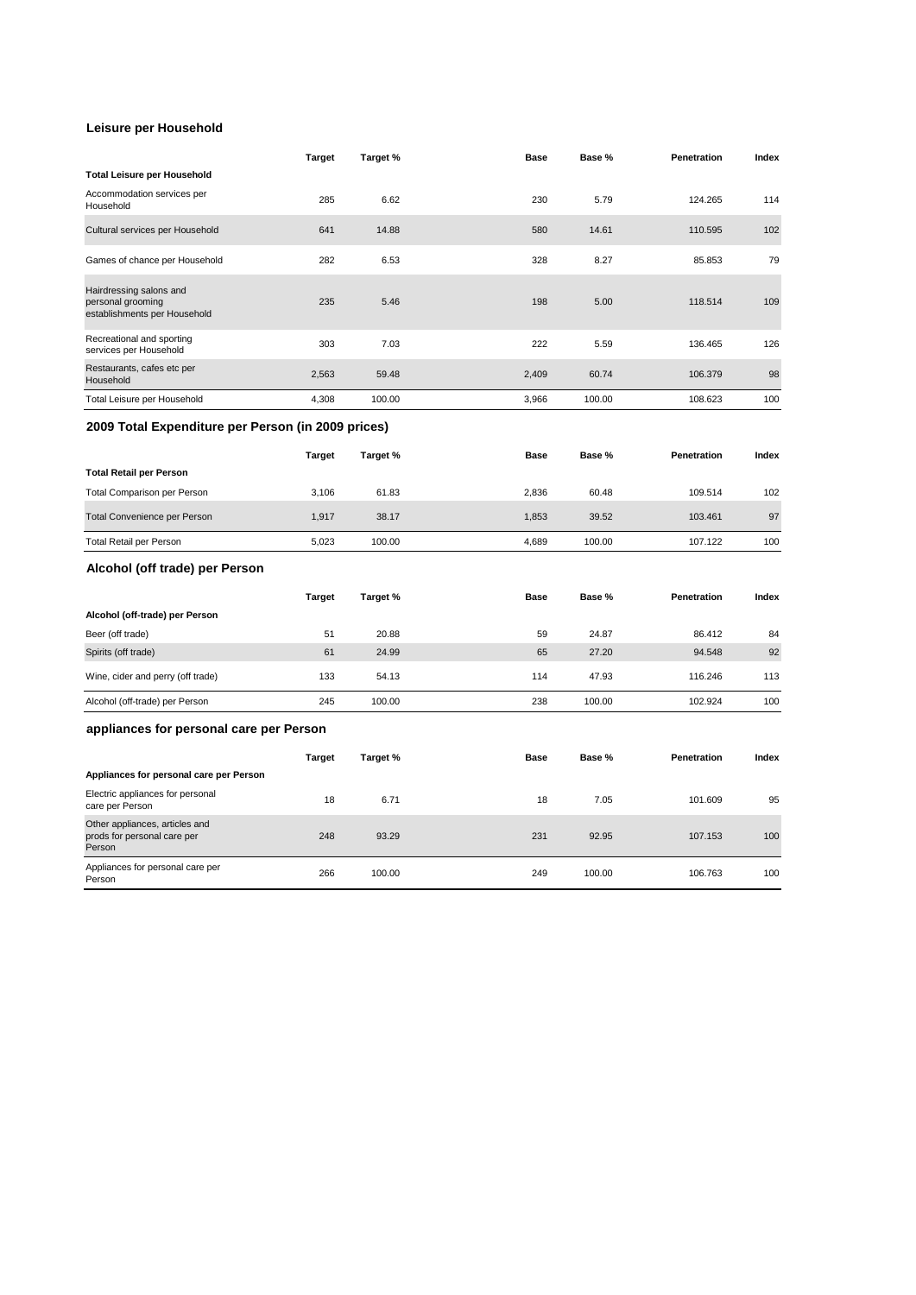#### **Leisure per Household**

|                                                                              | Target        | Target % | Base        | Base % | Penetration | Index |
|------------------------------------------------------------------------------|---------------|----------|-------------|--------|-------------|-------|
| <b>Total Leisure per Household</b>                                           |               |          |             |        |             |       |
| Accommodation services per<br>Household                                      | 285           | 6.62     | 230         | 5.79   | 124.265     | 114   |
| Cultural services per Household                                              | 641           | 14.88    | 580         | 14.61  | 110.595     | 102   |
| Games of chance per Household                                                | 282           | 6.53     | 328         | 8.27   | 85.853      | 79    |
| Hairdressing salons and<br>personal grooming<br>establishments per Household | 235           | 5.46     | 198         | 5.00   | 118.514     | 109   |
| Recreational and sporting<br>services per Household                          | 303           | 7.03     | 222         | 5.59   | 136.465     | 126   |
| Restaurants, cafes etc per<br>Household                                      | 2,563         | 59.48    | 2,409       | 60.74  | 106.379     | 98    |
| Total Leisure per Household                                                  | 4,308         | 100.00   | 3,966       | 100.00 | 108.623     | 100   |
| 2009 Total Expenditure per Person (in 2009 prices)                           |               |          |             |        |             |       |
|                                                                              | <b>Target</b> | Target % | <b>Base</b> | Base % | Penetration | Index |
| <b>Total Retail per Person</b>                                               |               |          |             |        |             |       |
| Total Comparison per Person                                                  | 3,106         | 61.83    | 2,836       | 60.48  | 109.514     | 102   |
| <b>Total Convenience per Person</b>                                          | 1,917         | 38.17    | 1,853       | 39.52  | 103.461     | 97    |
| <b>Total Retail per Person</b>                                               | 5,023         | 100.00   | 4,689       | 100.00 | 107.122     | 100   |
| Alcohol (off trade) per Person                                               |               |          |             |        |             |       |
|                                                                              | Target        | Target % | Base        | Base % | Penetration | Index |
| Alcohol (off-trade) per Person                                               |               |          |             |        |             |       |
| Beer (off trade)                                                             | 51            | 20.88    | 59          | 24.87  | 86.412      | 84    |
| Spirits (off trade)                                                          | 61            | 24.99    | 65          | 27.20  | 94.548      | 92    |
| Wine, cider and perry (off trade)                                            | 133           | 54.13    | 114         | 47.93  | 116.246     | 113   |
| Alcohol (off-trade) per Person                                               | 245           | 100.00   | 238         | 100.00 | 102.924     | 100   |
| appliances for personal care per Person                                      |               |          |             |        |             |       |
|                                                                              | <b>Target</b> | Target % | <b>Base</b> | Base % | Penetration | Index |
| Appliances for personal care per Person                                      |               |          |             |        |             |       |
| Electric appliances for personal<br>care per Person                          | 18            | 6.71     | 18          | 7.05   | 101.609     | 95    |
| Other appliances, articles and<br>prods for personal care per<br>Person      | 248           | 93.29    | 231         | 92.95  | 107.153     | 100   |
| Appliances for personal care per<br>Person                                   | 266           | 100.00   | 249         | 100.00 | 106.763     | 100   |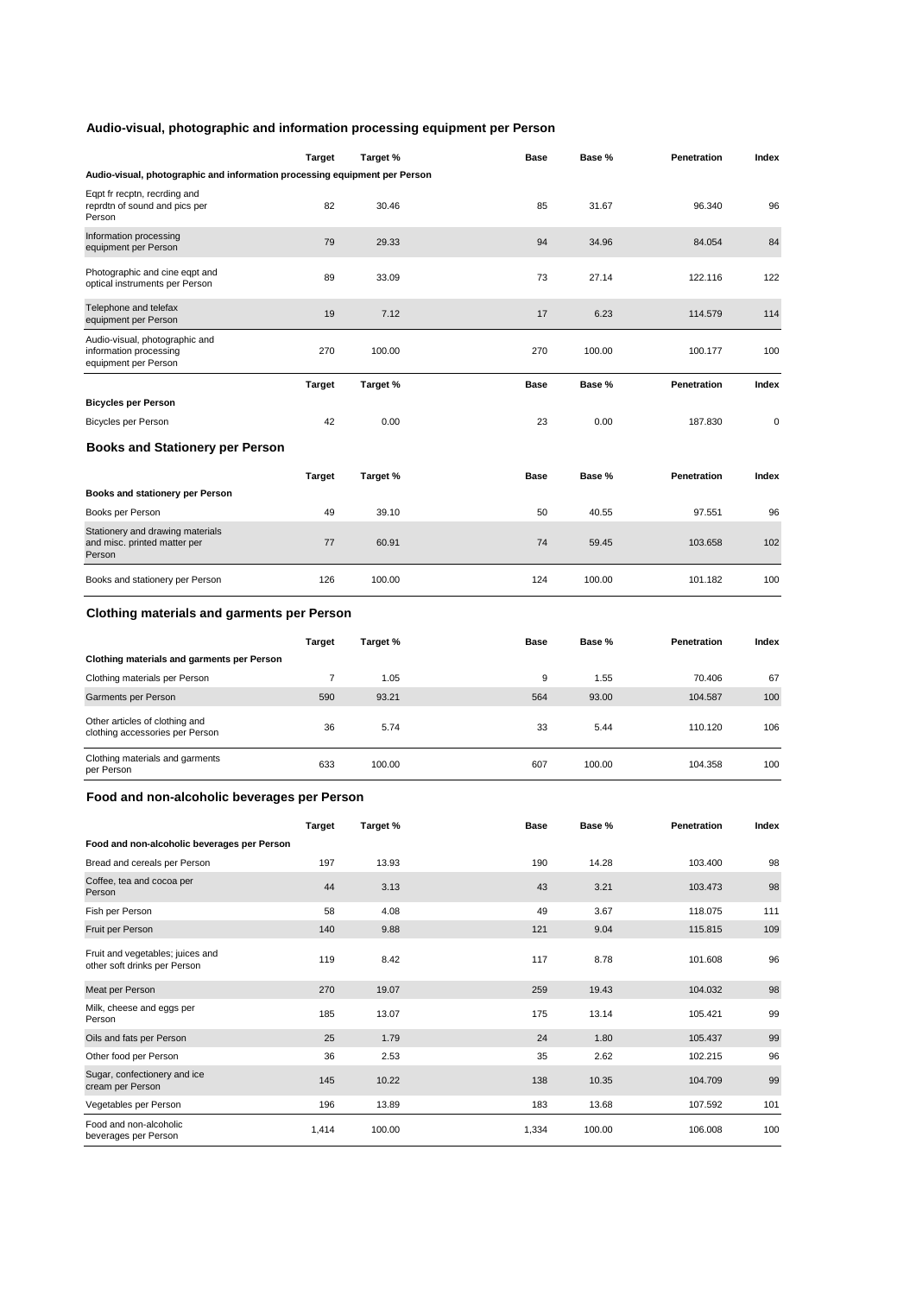### **Audio-visual, photographic and information processing equipment per Person**

|                                                                                  | Target         | Target % | Base  | Base % | Penetration | Index |
|----------------------------------------------------------------------------------|----------------|----------|-------|--------|-------------|-------|
| Audio-visual, photographic and information processing equipment per Person       |                |          |       |        |             |       |
| Eqpt fr recptn, recrding and<br>reprdtn of sound and pics per<br>Person          | 82             | 30.46    | 85    | 31.67  | 96.340      | 96    |
| Information processing<br>equipment per Person                                   | 79             | 29.33    | 94    | 34.96  | 84.054      | 84    |
| Photographic and cine eqpt and<br>optical instruments per Person                 | 89             | 33.09    | 73    | 27.14  | 122.116     | 122   |
| Telephone and telefax<br>equipment per Person                                    | 19             | 7.12     | 17    | 6.23   | 114.579     | 114   |
| Audio-visual, photographic and<br>information processing<br>equipment per Person | 270            | 100.00   | 270   | 100.00 | 100.177     | 100   |
|                                                                                  | <b>Target</b>  | Target % | Base  | Base % | Penetration | Index |
| <b>Bicycles per Person</b>                                                       |                |          |       |        |             |       |
| <b>Bicycles per Person</b>                                                       | 42             | 0.00     | 23    | 0.00   | 187.830     | 0     |
| <b>Books and Stationery per Person</b>                                           |                |          |       |        |             |       |
|                                                                                  | <b>Target</b>  | Target % | Base  | Base % | Penetration | Index |
| Books and stationery per Person                                                  |                |          |       |        |             |       |
| Books per Person                                                                 | 49             | 39.10    | 50    | 40.55  | 97.551      | 96    |
| Stationery and drawing materials<br>and misc. printed matter per<br>Person       | 77             | 60.91    | 74    | 59.45  | 103.658     | 102   |
| Books and stationery per Person                                                  | 126            | 100.00   | 124   | 100.00 | 101.182     | 100   |
| <b>Clothing materials and garments per Person</b>                                |                |          |       |        |             |       |
|                                                                                  | Target         | Target % | Base  | Base % | Penetration | Index |
| Clothing materials and garments per Person                                       |                |          |       |        |             |       |
| Clothing materials per Person                                                    | $\overline{7}$ | 1.05     | 9     | 1.55   | 70.406      | 67    |
| Garments per Person                                                              | 590            | 93.21    | 564   | 93.00  | 104.587     | 100   |
| Other articles of clothing and<br>clothing accessories per Person                | 36             | 5.74     | 33    | 5.44   | 110.120     | 106   |
| Clothing materials and garments<br>per Person                                    | 633            | 100.00   | 607   | 100.00 | 104.358     | 100   |
| Food and non-alcoholic beverages per Person                                      |                |          |       |        |             |       |
|                                                                                  | <b>Target</b>  | Target % | Base  | Base % | Penetration | Index |
| Food and non-alcoholic beverages per Person                                      |                |          |       |        |             |       |
| Bread and cereals per Person                                                     | 197            | 13.93    | 190   | 14.28  | 103.400     | 98    |
| Coffee, tea and cocoa per<br>Person                                              | 44             | 3.13     | 43    | 3.21   | 103.473     | 98    |
| Fish per Person                                                                  | 58             | 4.08     | 49    | 3.67   | 118.075     | 111   |
| Fruit per Person                                                                 | 140            | 9.88     | 121   | 9.04   | 115.815     | 109   |
| Fruit and vegetables; juices and<br>other soft drinks per Person                 | 119            | 8.42     | 117   | 8.78   | 101.608     | 96    |
| Meat per Person                                                                  | 270            | 19.07    | 259   | 19.43  | 104.032     | 98    |
| Milk, cheese and eggs per<br>Person                                              | 185            | 13.07    | 175   | 13.14  | 105.421     | 99    |
| Oils and fats per Person                                                         | 25             | 1.79     | 24    | 1.80   | 105.437     | 99    |
| Other food per Person                                                            | 36             | 2.53     | 35    | 2.62   | 102.215     | 96    |
| Sugar, confectionery and ice<br>cream per Person                                 | 145            | 10.22    | 138   | 10.35  | 104.709     | 99    |
| Vegetables per Person                                                            | 196            | 13.89    | 183   | 13.68  | 107.592     | 101   |
| Food and non-alcoholic<br>beverages per Person                                   | 1,414          | 100.00   | 1,334 | 100.00 | 106.008     | 100   |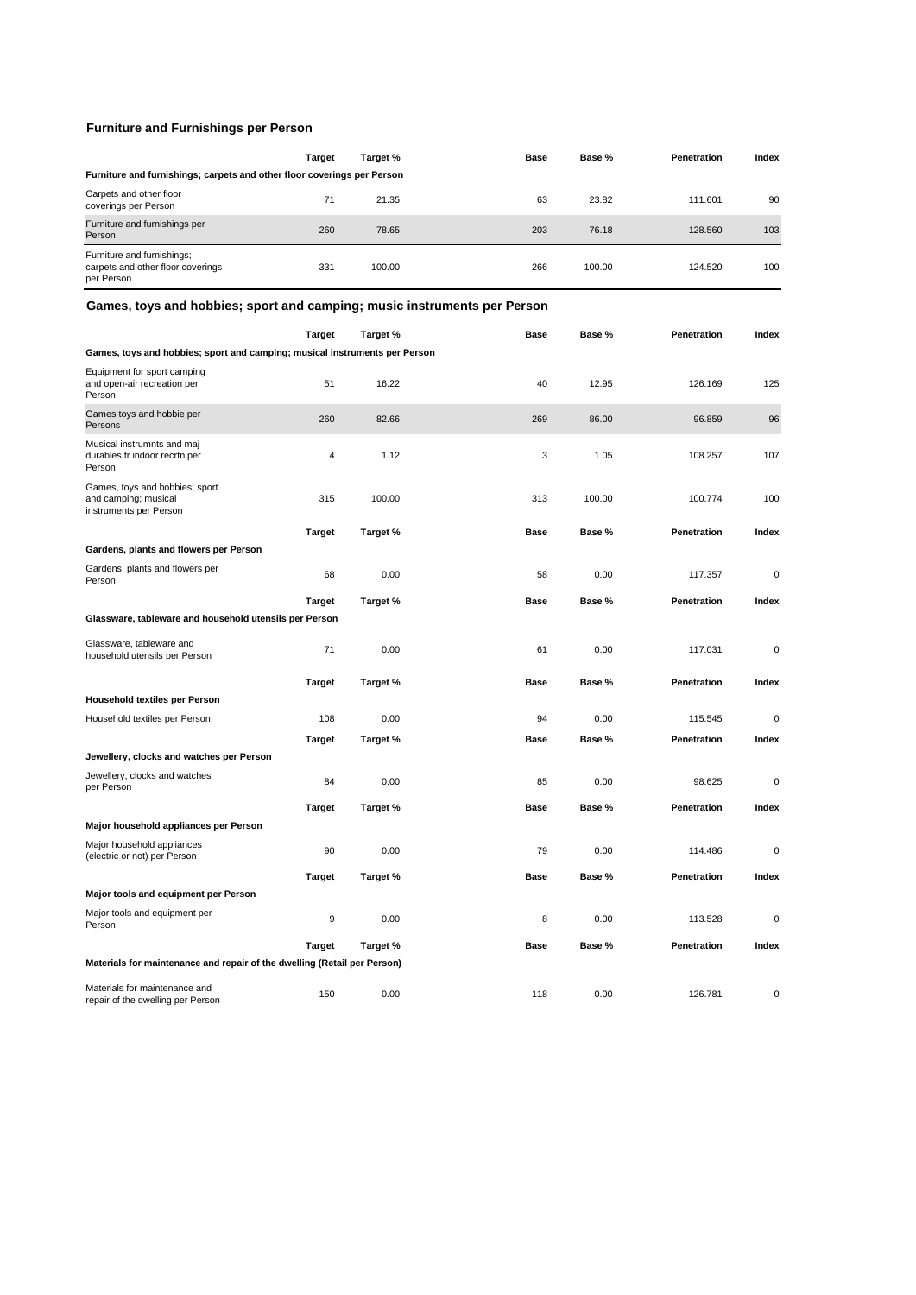### **Furniture and Furnishings per Person**

|                                                                               | <b>Target</b> | Target % | <b>Base</b> | Base % | Penetration | Index |  |  |
|-------------------------------------------------------------------------------|---------------|----------|-------------|--------|-------------|-------|--|--|
| Furniture and furnishings; carpets and other floor coverings per Person       |               |          |             |        |             |       |  |  |
| Carpets and other floor<br>coverings per Person                               | 71            | 21.35    | 63          | 23.82  | 111.601     | 90    |  |  |
| Furniture and furnishings per<br>Person                                       | 260           | 78.65    | 203         | 76.18  | 128,560     | 103   |  |  |
| Furniture and furnishings;<br>carpets and other floor coverings<br>per Person | 331           | 100.00   | 266         | 100.00 | 124.520     | 100   |  |  |

### **Games, toys and hobbies; sport and camping; music instruments per Person**

|                                                                                  | <b>Target</b> | Target % | <b>Base</b> | Base % | Penetration | Index       |
|----------------------------------------------------------------------------------|---------------|----------|-------------|--------|-------------|-------------|
| Games, toys and hobbies; sport and camping; musical instruments per Person       |               |          |             |        |             |             |
| Equipment for sport camping<br>and open-air recreation per<br>Person             | 51            | 16.22    | 40          | 12.95  | 126.169     | 125         |
| Games toys and hobbie per<br>Persons                                             | 260           | 82.66    | 269         | 86.00  | 96.859      | 96          |
| Musical instrumnts and maj<br>durables fr indoor recrtn per<br>Person            | 4             | 1.12     | 3           | 1.05   | 108.257     | 107         |
| Games, toys and hobbies; sport<br>and camping; musical<br>instruments per Person | 315           | 100.00   | 313         | 100.00 | 100.774     | 100         |
|                                                                                  | <b>Target</b> | Target % | <b>Base</b> | Base % | Penetration | Index       |
| Gardens, plants and flowers per Person                                           |               |          |             |        |             |             |
| Gardens, plants and flowers per<br>Person                                        | 68            | 0.00     | 58          | 0.00   | 117.357     | $\mathbf 0$ |
|                                                                                  | <b>Target</b> | Target % | Base        | Base % | Penetration | Index       |
| Glassware, tableware and household utensils per Person                           |               |          |             |        |             |             |
| Glassware, tableware and<br>household utensils per Person                        | 71            | 0.00     | 61          | 0.00   | 117.031     | 0           |
|                                                                                  | Target        | Target % | Base        | Base % | Penetration | Index       |
| <b>Household textiles per Person</b>                                             |               |          |             |        |             |             |
| Household textiles per Person                                                    | 108           | 0.00     | 94          | 0.00   | 115.545     | $\Omega$    |
|                                                                                  | Target        | Target % | Base        | Base % | Penetration | Index       |
| Jewellery, clocks and watches per Person                                         |               |          |             |        |             |             |
| Jewellery, clocks and watches<br>per Person                                      | 84            | 0.00     | 85          | 0.00   | 98.625      | $\mathbf 0$ |
|                                                                                  | <b>Target</b> | Target % | <b>Base</b> | Base % | Penetration | Index       |
| Major household appliances per Person                                            |               |          |             |        |             |             |
| Major household appliances<br>(electric or not) per Person                       | 90            | 0.00     | 79          | 0.00   | 114.486     | $\mathbf 0$ |
|                                                                                  | <b>Target</b> | Target % | <b>Base</b> | Base % | Penetration | Index       |
| Major tools and equipment per Person                                             |               |          |             |        |             |             |
| Major tools and equipment per<br>Person                                          | 9             | 0.00     | 8           | 0.00   | 113.528     | 0           |
|                                                                                  | <b>Target</b> | Target % | Base        | Base % | Penetration | Index       |
| Materials for maintenance and repair of the dwelling (Retail per Person)         |               |          |             |        |             |             |
| Materials for maintenance and<br>repair of the dwelling per Person               | 150           | 0.00     | 118         | 0.00   | 126.781     | 0           |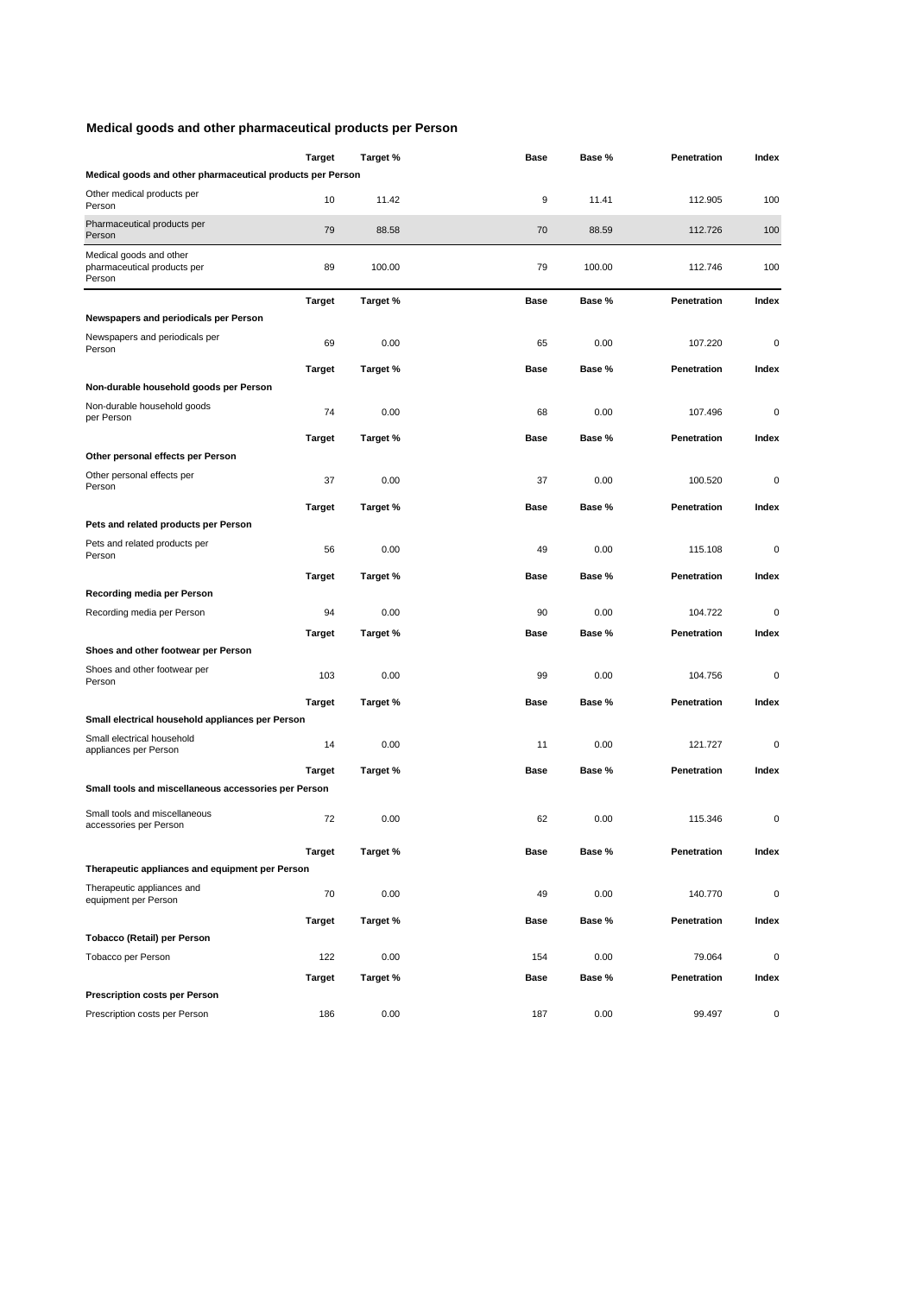### **Medical goods and other pharmaceutical products per Person**

|                                                                  | Target        | Target % | Base        | Base % | Penetration | Index       |
|------------------------------------------------------------------|---------------|----------|-------------|--------|-------------|-------------|
| Medical goods and other pharmaceutical products per Person       |               |          |             |        |             |             |
| Other medical products per<br>Person                             | 10            | 11.42    | 9           | 11.41  | 112.905     | 100         |
| Pharmaceutical products per<br>Person                            | 79            | 88.58    | 70          | 88.59  | 112.726     | 100         |
| Medical goods and other<br>pharmaceutical products per<br>Person | 89            | 100.00   | 79          | 100.00 | 112.746     | 100         |
|                                                                  | Target        | Target % | <b>Base</b> | Base % | Penetration | Index       |
| Newspapers and periodicals per Person                            |               |          |             |        |             |             |
| Newspapers and periodicals per<br>Person                         | 69            | 0.00     | 65          | 0.00   | 107.220     | 0           |
|                                                                  | Target        | Target % | Base        | Base % | Penetration | Index       |
| Non-durable household goods per Person                           |               |          |             |        |             |             |
| Non-durable household goods<br>per Person                        | 74            | 0.00     | 68          | 0.00   | 107.496     | 0           |
|                                                                  | Target        | Target % | Base        | Base % | Penetration | Index       |
| Other personal effects per Person                                |               |          |             |        |             |             |
| Other personal effects per<br>Person                             | 37            | 0.00     | 37          | 0.00   | 100.520     | 0           |
|                                                                  | <b>Target</b> | Target % | Base        | Base % | Penetration | Index       |
| Pets and related products per Person                             |               |          |             |        |             |             |
| Pets and related products per<br>Person                          | 56            | 0.00     | 49          | 0.00   | 115.108     | 0           |
|                                                                  | <b>Target</b> | Target % | Base        | Base % | Penetration | Index       |
| Recording media per Person                                       |               |          |             |        |             |             |
| Recording media per Person                                       | 94            | 0.00     | 90          | 0.00   | 104.722     | 0           |
|                                                                  | <b>Target</b> | Target % | Base        | Base % | Penetration | Index       |
| Shoes and other footwear per Person                              |               |          |             |        |             |             |
| Shoes and other footwear per<br>Person                           | 103           | 0.00     | 99          | 0.00   | 104.756     | $\mathbf 0$ |
|                                                                  | <b>Target</b> | Target % | Base        | Base % | Penetration | Index       |
| Small electrical household appliances per Person                 |               |          |             |        |             |             |
| Small electrical household<br>appliances per Person              | 14            | 0.00     | 11          | 0.00   | 121.727     | 0           |
|                                                                  | Target        | Target % | Base        | Base % | Penetration | Index       |
| Small tools and miscellaneous accessories per Person             |               |          |             |        |             |             |
| Small tools and miscellaneous<br>accessories per Person          | 72            | 0.00     | 62          | 0.00   | 115.346     | 0           |
|                                                                  | <b>Target</b> | Target % | Base        | Base % | Penetration | Index       |
| Therapeutic appliances and equipment per Person                  |               |          |             |        |             |             |
| Therapeutic appliances and                                       | 70            | 0.00     | 49          | 0.00   | 140.770     | $\mathbf 0$ |
| equipment per Person                                             |               |          |             |        |             |             |
| Tobacco (Retail) per Person                                      | Target        | Target % | Base        | Base % | Penetration | Index       |
| Tobacco per Person                                               | 122           | 0.00     | 154         | 0.00   | 79.064      | $\mathbf 0$ |
|                                                                  | Target        | Target % | Base        | Base % | Penetration | Index       |
| <b>Prescription costs per Person</b>                             |               |          |             |        |             |             |
| Prescription costs per Person                                    | 186           | 0.00     | 187         | 0.00   | 99.497      | $\pmb{0}$   |